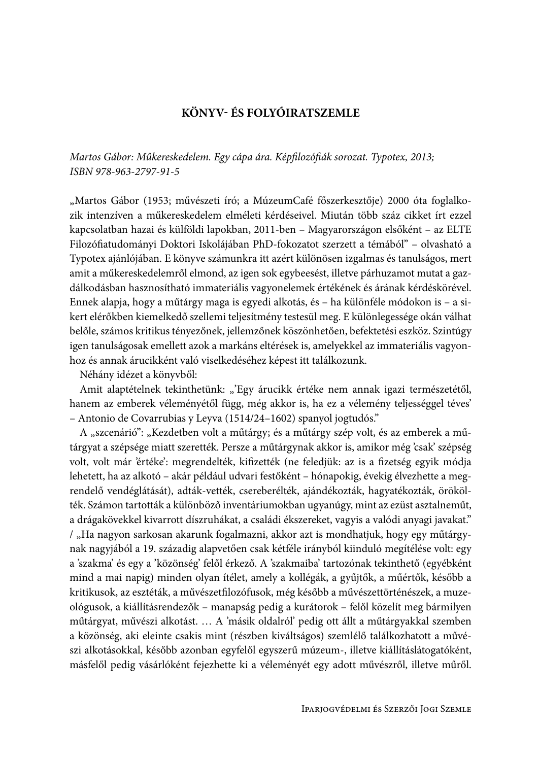# KÖNYV- ÉS FOLYÓIRATSZEMLE

Martos Gábor: Műkereskedelem. Egy cápa ára. Képfilozófiák sorozat. Typotex, 2013; ISBN 978-963-2797-91-5

"Martos Gábor (1953; művészeti író; a MúzeumCafé főszerkesztője) 2000 óta foglalkozik intenzíven a műkereskedelem elméleti kérdéseivel. Miután több száz cikket írt ezzel kapcsolatban hazai és külföldi lapokban, 2011-ben - Magyarországon elsőként - az ELTE Filozófiatudományi Doktori Iskolájában PhD-fokozatot szerzett a témából" – olvasható a Typotex ajánlójában. E könyve számunkra itt azért különösen izgalmas és tanulságos, mert amit a műkereskedelemről elmond, az igen sok egybeesést, illetve párhuzamot mutat a gazdálkodásban hasznosítható immateriális vagyonelemek értékének és árának kérdéskörével. Ennek alapja, hogy a műtárgy maga is egyedi alkotás, és – ha különféle módokon is – a sikert elérőkben kiemelkedő szellemi teljesítmény testesül meg. E különlegessége okán válhat belőle, számos kritikus tényezőnek, jellemzőnek köszönhetően, befektetési eszköz. Szintúgy igen tanulságosak emellett azok a markáns eltérések is, amelyekkel az immateriális vagyonhoz és annak árucikként való viselkedéséhez képest itt találkozunk.

Néhány idézet a könyvből:

Amit alaptételnek tekinthetünk: "'Egy árucikk értéke nem annak igazi természetétől, hanem az emberek véleményétől függ, még akkor is, ha ez a vélemény teljességgel téves' - Antonio de Covarrubias y Leyva (1514/24-1602) spanyol jogtudós."

A "szcenárió": "Kezdetben volt a műtárgy; és a műtárgy szép volt, és az emberek a műtárgyat a szépsége miatt szerették. Persze a műtárgynak akkor is, amikor még 'csak' szépség volt, volt már 'értéke': megrendelték, kifizették (ne feledjük: az is a fizetség egyik módja lehetett, ha az alkotó – akár például udvari festőként – hónapokig, évekig élvezhette a megrendelő vendéglátását), adták-vették, csereberélték, ajándékozták, hagyatékozták, örökölték. Számon tartották a különböző inventáriumokban ugyanúgy, mint az ezüst asztalneműt, a drágakövekkel kivarrott díszruhákat, a családi ékszereket, vagyis a valódi anyagi javakat." / "Ha nagyon sarkosan akarunk fogalmazni, akkor azt is mondhatjuk, hogy egy műtárgynak nagyjából a 19. századig alapvetően csak kétféle irányból kiinduló megítélése volt: egy a 'szakma' és egy a 'közönség' felől érkező. A 'szakmaiba' tartozónak tekinthető (egyébként mind a mai napig) minden olyan ítélet, amely a kollégák, a gyűjtők, a műértők, később a kritikusok, az esztéták, a művészetfilozófusok, még később a művészettörténészek, a muzeológusok, a kiállításrendezők – manapság pedig a kurátorok – felől közelít meg bármilyen műtárgyat, művészi alkotást. ... A 'másik oldalról' pedig ott állt a műtárgyakkal szemben a közönség, aki eleinte csakis mint (részben kiváltságos) szemlélő találkozhatott a művészi alkotásokkal, később azonban egyfelől egyszerű múzeum-, illetve kiállításlátogatóként, másfelől pedig vásárlóként fejezhette ki a véleményét egy adott művészről, illetve műről.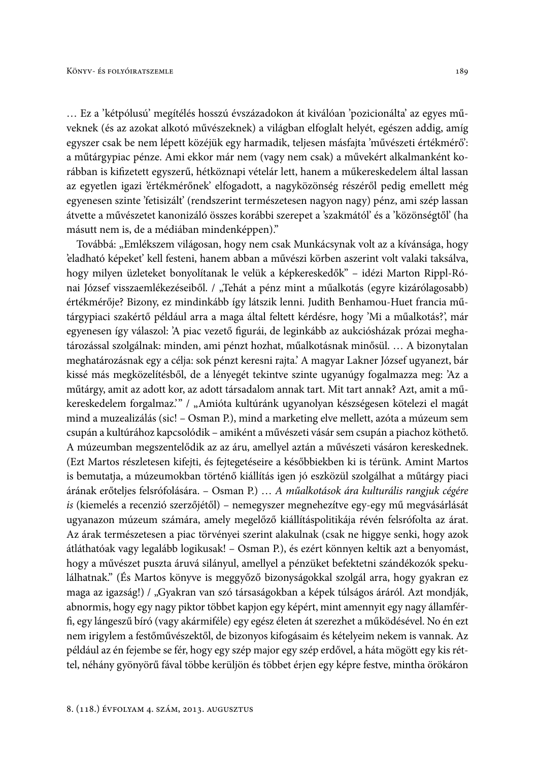... Ez a 'kétpólusú' megítélés hosszú évszázadokon át kiválóan 'pozicionálta' az egyes műveknek (és az azokat alkotó művészeknek) a világban elfoglalt helyét, egészen addig, amíg egyszer csak be nem lépett közéjük egy harmadik, teljesen másfajta 'művészeti értékmérő': a műtárgypiac pénze. Ami ekkor már nem (vagy nem csak) a művekért alkalmanként korábban is kifizetett egyszerű, hétköznapi vételár lett, hanem a műkereskedelem által lassan az egyetlen igazi 'értékmérőnek' elfogadott, a nagyközönség részéről pedig emellett még egyenesen szinte 'fetisizált' (rendszerint természetesen nagyon nagy) pénz, ami szép lassan átvette a művészetet kanonizáló összes korábbi szerepet a 'szakmától' és a 'közönségtől' (ha másutt nem is, de a médiában mindenképpen)."

Továbbá: "Emlékszem világosan, hogy nem csak Munkácsynak volt az a kívánsága, hogy 'eladható képeket' kell festeni, hanem abban a művészi körben aszerint volt valaki taksálva, hogy milyen üzleteket bonyolítanak le velük a képkereskedők" – idézi Marton Rippl-Rónai József visszaemlékezéseiből. / "Tehát a pénz mint a műalkotás (egyre kizárólagosabb) értékmérője? Bizony, ez mindinkább így látszik lenni. Judith Benhamou-Huet francia műtárgypiaci szakértő például arra a maga által feltett kérdésre, hogy 'Mi a műalkotás?', már egyenesen így válaszol: 'A piac vezető figurái, de leginkább az aukciósházak prózai meghatározással szolgálnak: minden, ami pénzt hozhat, műalkotásnak minősül. ... A bizonytalan meghatározásnak egy a célja: sok pénzt keresni rajta.' A magyar Lakner József ugyanezt, bár kissé más megközelítésből, de a lényegét tekintve szinte ugyanúgy fogalmazza meg: 'Az a műtárgy, amit az adott kor, az adott társadalom annak tart. Mit tart annak? Azt, amit a műkereskedelem forgalmaz." / "Amióta kultúránk ugyanolyan készségesen kötelezi el magát mind a muzealizálás (sic! - Osman P.), mind a marketing elve mellett, azóta a múzeum sem csupán a kultúrához kapcsolódik – amiként a művészeti vásár sem csupán a piachoz köthető. A múzeumban megszentelődik az az áru, amellyel aztán a művészeti vásáron kereskednek. (Ezt Martos részletesen kifejti, és fejtegetéseire a későbbiekben ki is térünk. Amint Martos is bemutatja, a múzeumokban történő kiállítás igen jó eszközül szolgálhat a műtárgy piaci árának erőteljes felsrófolására. – Osman P.) ... A műalkotások ára kulturális rangjuk cégére is (kiemelés a recenzió szerzőjétől) – nemegyszer megnehezítve egy-egy mű megvásárlását ugyanazon múzeum számára, amely megelőző kiállításpolitikája révén felsrófolta az árat. Az árak természetesen a piac törvényei szerint alakulnak (csak ne higgye senki, hogy azok átláthatóak vagy legalább logikusak! – Osman P.), és ezért könnyen keltik azt a benyomást, hogy a művészet puszta áruvá silányul, amellyel a pénzüket befektetni szándékozók spekulálhatnak." (És Martos könyve is meggyőző bizonyságokkal szolgál arra, hogy gyakran ez maga az igazság!) / "Gyakran van szó társaságokban a képek túlságos áráról. Azt mondják, abnormis, hogy egy nagy piktor többet kapjon egy képért, mint amennyit egy nagy államférfi, egy lángeszű bíró (vagy akármiféle) egy egész életen át szerezhet a működésével. No én ezt nem irigylem a festőművészektől, de bizonyos kifogásaim és kételyeim nekem is vannak. Az például az én fejembe se fér, hogy egy szép major egy szép erdővel, a háta mögött egy kis réttel, néhány gyönyörű fával többe kerüljön és többet érjen egy képre festve, mintha örökáron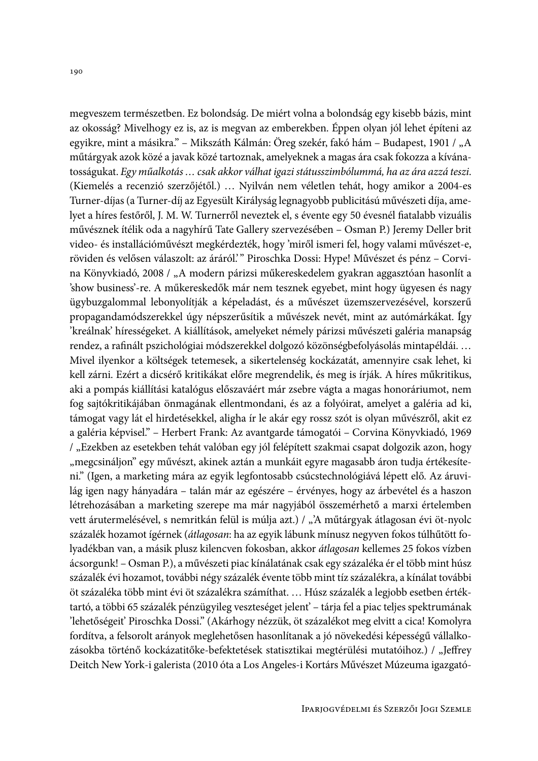megyeszem természetben. Ez bolondság. De miért volna a bolondság egy kisebb bázis, mint az okosság? Mivelhogy ez is, az is megvan az emberekben. Éppen olyan jól lehet építeni az egyikre, mint a másikra." – Mikszáth Kálmán: Öreg szekér, fakó hám – Budapest, 1901 / "A műtárgyak azok közé a javak közé tartoznak, amelyeknek a magas ára csak fokozza a kívánatosságukat. Egy műalkotás ... csak akkor válhat igazi státusszimbólummá, ha az ára azzá teszi. (Kiemelés a recenzió szerzőjétől.) ... Nyilván nem véletlen tehát, hogy amikor a 2004-es Turner-díjas (a Turner-díj az Egyesült Királyság legnagyobb publicitású művészeti díja, amelyet a híres festőről, J. M. W. Turnerről neveztek el, s évente egy 50 évesnél fiatalabb vizuális művésznek ítélik oda a nagyhírű Tate Gallery szervezésében – Osman P.) Jeremy Deller brit video- és installációművészt megkérdezték, hogy 'miről ismeri fel, hogy valami művészet-e, röviden és velősen válaszolt: az áráról." Piroschka Dossi: Hype! Művészet és pénz - Corvina Könyvkiadó, 2008 / "A modern párizsi műkereskedelem gyakran aggasztóan hasonlít a show business'-re. A műkereskedők már nem tesznek egyebet, mint hogy ügyesen és nagy ügybuzgalommal lebonyolítják a képeladást, és a művészet üzemszervezésével, korszerű propagandamódszerekkel úgy népszerűsítik a művészek nevét, mint az autómárkákat. Így 'kreálnak' hírességeket. A kiállítások, amelyeket némely párizsi művészeti galéria manapság rendez, a rafinált pszichológiai módszerekkel dolgozó közönségbefolyásolás mintapéldái.... Mivel ilyenkor a költségek tetemesek, a sikertelenség kockázatát, amennyire csak lehet, ki kell zárni. Ezért a dicsérő kritikákat előre megrendelik, és meg is írják. A híres műkritikus, aki a pompás kiállítási katalógus előszaváért már zsebre vágta a magas honoráriumot, nem fog sajtókritikájában önmagának ellentmondani, és az a folyóirat, amelyet a galéria ad ki, támogat vagy lát el hirdetésekkel, aligha ír le akár egy rossz szót is olyan művészről, akit ez a galéria képvisel." – Herbert Frank: Az avantgarde támogatói – Corvina Könyvkiadó, 1969 / "Ezekben az esetekben tehát valóban egy jól felépített szakmai csapat dolgozik azon, hogy "megcsináljon" egy művészt, akinek aztán a munkáit egyre magasabb áron tudja értékesíteni." (Igen, a marketing mára az egyik legfontosabb csúcstechnológiává lépett elő. Az áruvilág igen nagy hányadára – talán már az egészére – érvényes, hogy az árbevétel és a haszon létrehozásában a marketing szerepe ma már nagyjából összemérhető a marxi értelemben vett árutermelésével, s nemritkán felül is múlja azt.) / "'A műtárgyak átlagosan évi öt-nyolc százalék hozamot ígérnek (átlagosan: ha az egyik lábunk mínusz negyven fokos túlhűtött folyadékban van, a másik plusz kilencven fokosban, akkor átlagosan kellemes 25 fokos vízben ácsorgunk! - Osman P.), a művészeti piac kínálatának csak egy százaléka ér el több mint húsz százalék évi hozamot, további négy százalék évente több mint tíz százalékra, a kínálat további öt százaléka több mint évi öt százalékra számíthat. ... Húsz százalék a legjobb esetben értéktartó, a többi 65 százalék pénzügyileg veszteséget jelent' - tárja fel a piac teljes spektrumának 'lehetőségeit' Piroschka Dossi." (Akárhogy nézzük, öt százalékot meg elvitt a cica! Komolyra fordítva, a felsorolt arányok meglehetősen hasonlítanak a jó növekedési képességű vállalkozásokba történő kockázatitőke-befektetések statisztikai megtérülési mutatóihoz.) / "Jeffrey Deitch New York-i galerista (2010 óta a Los Angeles-i Kortárs Művészet Múzeuma igazgató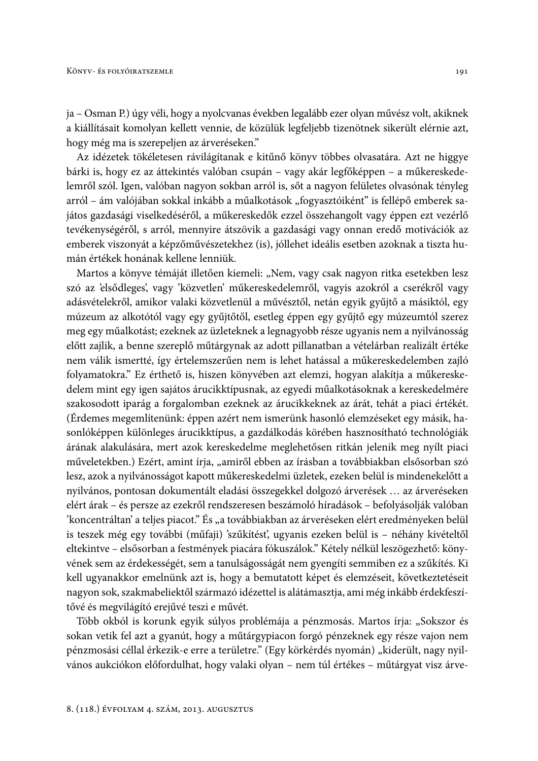ja – Osman P.) úgy véli, hogy a nyolcvanas években legalább ezer olyan művész volt, akiknek a kiállításait komolyan kellett vennie, de közülük legfeljebb tizenötnek sikerült elérnie azt, hogy még ma is szerepeljen az árveréseken."

Az idézetek tökéletesen rávilágítanak e kitűnő könyv többes olvasatára. Azt ne higgye bárki is, hogy ez az áttekintés valóban csupán - vagy akár legfőképpen - a műkereskedelemről szól. Igen, valóban nagyon sokban arról is, sőt a nagyon felületes olvasónak tényleg arról – ám valójában sokkal inkább a műalkotások "fogyasztóiként" is fellépő emberek sajátos gazdasági viselkedéséről, a műkereskedők ezzel összehangolt vagy éppen ezt vezérlő tevékenységéről, s arról, mennyire átszövik a gazdasági vagy onnan eredő motivációk az emberek viszonyát a képzőművészetekhez (is), jóllehet ideális esetben azoknak a tiszta humán értékek honának kellene lenniük.

Martos a könyve témáját illetően kiemeli: "Nem, vagy csak nagyon ritka esetekben lesz szó az 'elsődleges', vagy 'közvetlen' műkereskedelemről, vagyis azokról a cserékről vagy adásvételekről, amikor valaki közvetlenül a művésztől, netán egyik gyűjtő a másiktól, egy múzeum az alkotótól vagy egy gyűjtőtől, esetleg éppen egy gyűjtő egy múzeumtól szerez meg egy műalkotást; ezeknek az üzleteknek a legnagyobb része ugyanis nem a nyilvánosság előtt zajlik, a benne szereplő műtárgynak az adott pillanatban a vételárban realizált értéke nem válik ismertté, így értelemszerűen nem is lehet hatással a műkereskedelemben zajló folyamatokra." Ez érthető is, hiszen könyvében azt elemzi, hogyan alakítja a műkereskedelem mint egy igen sajátos árucikktípusnak, az egyedi műalkotásoknak a kereskedelmére szakosodott iparág a forgalomban ezeknek az árucikkeknek az árát, tehát a piaci értékét. (Érdemes megemlítenünk: éppen azért nem ismerünk hasonló elemzéseket egy másik, hasonlóképpen különleges árucikktípus, a gazdálkodás körében hasznosítható technológiák árának alakulására, mert azok kereskedelme meglehetősen ritkán jelenik meg nyílt piaci műveletekben.) Ezért, amint írja, "amiről ebben az írásban a továbbiakban elsősorban szó lesz, azok a nyilvánosságot kapott műkereskedelmi üzletek, ezeken belül is mindenekelőtt a nyilvános, pontosan dokumentált eladási összegekkel dolgozó árverések ... az árveréseken elért árak - és persze az ezekről rendszeresen beszámoló híradások - befolyásolják valóban 'koncentráltan' a teljes piacot." És "a továbbiakban az árveréseken elért eredményeken belül is teszek még egy további (műfaji) 'szűkítést', ugyanis ezeken belül is – néhány kivételtől eltekintve - elsősorban a festmények piacára fókuszálok." Kétely nélkül leszögezhető: könyvének sem az érdekességét, sem a tanulságosságát nem gyengíti semmiben ez a szűkítés. Ki kell ugyanakkor emelnünk azt is, hogy a bemutatott képet és elemzéseit, következtetéseit nagyon sok, szakmabeliektől származó idézettel is alátámasztja, ami még inkább érdekfeszítővé és megvilágító erejűvé teszi e művét.

Több okból is korunk egyik súlyos problémája a pénzmosás. Martos írja: "Sokszor és sokan vetik fel azt a gyanút, hogy a műtárgypiacon forgó pénzeknek egy része vajon nem pénzmosási céllal érkezik-e erre a területre." (Egy körkérdés nyomán) "kiderült, nagy nyilvános aukciókon előfordulhat, hogy valaki olyan - nem túl értékes - műtárgyat visz árve-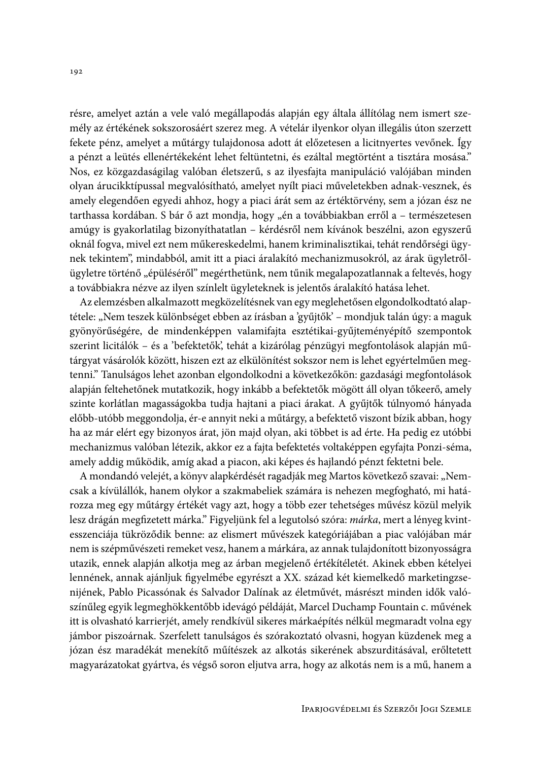résre, amelyet aztán a vele való megállapodás alapján egy általa állítólag nem ismert személy az értékének sokszorosáért szerez meg. A vételár ilyenkor olyan illegális úton szerzett fekete pénz, amelyet a műtárgy tulajdonosa adott át előzetesen a licitnyertes vevőnek. Így a pénzt a leütés ellenértékeként lehet feltüntetni, és ezáltal megtörtént a tisztára mosása." Nos, ez közgazdaságilag valóban életszerű, s az ilyesfajta manipuláció valójában minden olyan árucikktípussal megvalósítható, amelyet nyílt piaci műveletekben adnak-vesznek, és amely elegendően egyedi ahhoz, hogy a piaci árát sem az értéktörvény, sem a józan ész ne tarthassa kordában. S bár ő azt mondja, hogy "én a továbbiakban erről a - természetesen amúgy is gyakorlatilag bizonyíthatatlan - kérdésről nem kívánok beszélni, azon egyszerű oknál fogva, mivel ezt nem műkereskedelmi, hanem kriminalisztikai, tehát rendőrségi ügynek tekintem", mindabból, amit itt a piaci áralakító mechanizmusokról, az árak ügyletrőlügyletre történő "épüléséről" megérthetünk, nem tűnik megalapozatlannak a feltevés, hogy a továbbiakra nézve az ilyen színlelt ügyleteknek is jelentős áralakító hatása lehet.

Az elemzésben alkalmazott megközelítésnek van egy meglehetősen elgondolkodtató alaptétele: "Nem teszek különbséget ebben az írásban a 'gyűjtők' – mondjuk talán úgy: a maguk gyönyörűségére, de mindenképpen valamifajta esztétikai-gyűjteményépítő szempontok szerint licitálók - és a 'befektetők', tehát a kizárólag pénzügyi megfontolások alapján műtárgyat vásárolók között, hiszen ezt az elkülönítést sokszor nem is lehet egyértelműen megtenni." Tanulságos lehet azonban elgondolkodni a következőkön: gazdasági megfontolások alapján feltehetőnek mutatkozik, hogy inkább a befektetők mögött áll olyan tőkeerő, amely szinte korlátlan magasságokba tudja hajtani a piaci árakat. A gyűjtők túlnyomó hányada előbb-utóbb meggondolja, ér-e annyit neki a műtárgy, a befektető viszont bízik abban, hogy ha az már elért egy bizonyos árat, jön majd olyan, aki többet is ad érte. Ha pedig ez utóbbi mechanizmus valóban létezik, akkor ez a fajta befektetés voltaképpen egyfajta Ponzi-séma, amely addig működik, amíg akad a piacon, aki képes és hajlandó pénzt fektetni bele.

A mondandó velejét, a könyv alapkérdését ragadják meg Martos következő szavai: "Nemcsak a kívülállók, hanem olykor a szakmabeliek számára is nehezen megfogható, mi határozza meg egy műtárgy értékét vagy azt, hogy a több ezer tehetséges művész közül melyik lesz drágán megfizetett márka." Figyeljünk fel a legutolsó szóra: *márka*, mert a lényeg kvintesszenciája tükröződik benne: az elismert művészek kategóriájában a piac valójában már nem is szépművészeti remeket vesz, hanem a márkára, az annak tulajdonított bizonyosságra utazik, ennek alapján alkotja meg az árban megjelenő értékítéletét. Akinek ebben kételyei lennének, annak ajánljuk figyelmébe egyrészt a XX. század két kiemelkedő marketingzsenijének, Pablo Picassónak és Salvador Dalínak az életművét, másrészt minden idők valószínűleg egyik legmeghökkentőbb idevágó példáját, Marcel Duchamp Fountain c. művének itt is olvasható karrierjét, amely rendkívül sikeres márkaépítés nélkül megmaradt volna egy jámbor piszoárnak. Szerfelett tanulságos és szórakoztató olvasni, hogyan küzdenek meg a józan ész maradékát menekítő műítészek az alkotás sikerének abszurditásával, erőltetett magyarázatokat gyártva, és végső soron eljutva arra, hogy az alkotás nem is a mű, hanem a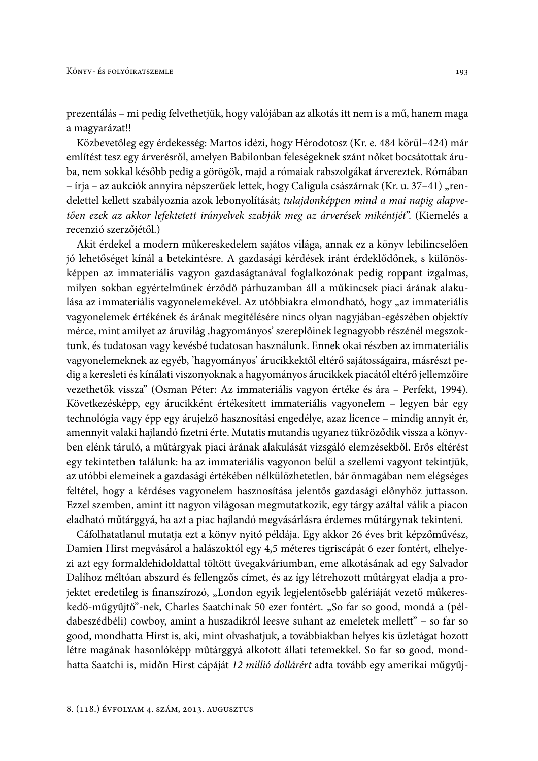prezentálás – mi pedig felvethetjük, hogy valójában az alkotás itt nem is a mű, hanem maga a magyarázat!!

Közbevetőleg egy érdekesség: Martos idézi, hogy Hérodotosz (Kr. e. 484 körül–424) már említést tesz egy árverésről, amelyen Babilonban feleségeknek szánt nőket bocsátottak áruba, nem sokkal később pedig a görögök, majd a rómaiak rabszolgákat árvereztek. Rómában – írja – az aukciók annyira népszerűek lettek, hogy Caligula császárnak (Kr. u. 37–41), rendelettel kellett szabályoznia azok lebonyolítását; tulajdonképpen mind a mai napig alapvetően ezek az akkor lefektetett irányelvek szabják meg az árverések mikéntjét". (Kiemelés a recenzió szerzőjétől.)

Akit érdekel a modern műkereskedelem sajátos világa, annak ez a könyv lebilincselően jó lehetőséget kínál a betekintésre. A gazdasági kérdések iránt érdeklődőnek, s különösképpen az immateriális vagyon gazdaságtanával foglalkozónak pedig roppant izgalmas, milyen sokban egyértelműnek érződő párhuzamban áll a műkincsek piaci árának alakulása az immateriális vagyonelemekével. Az utóbbiakra elmondható, hogy "az immateriális vagyonelemek értékének és árának megítélésére nincs olyan nagyjában-egészében objektív mérce, mint amilyet az áruvilág, hagyományos' szereplőinek legnagyobb részénél megszoktunk, és tudatosan vagy kevésbé tudatosan használunk. Ennek okai részben az immateriális vagyonelemeknek az egyéb, 'hagyományos' árucikkektől eltérő sajátosságaira, másrészt pedig a keresleti és kínálati viszonyoknak a hagyományos árucikkek piacától eltérő jellemzőire vezethetők vissza" (Osman Péter: Az immateriális vagyon értéke és ára – Perfekt, 1994). Következésképp, egy árucikként értékesített immateriális vagyonelem – legyen bár egy technológia vagy épp egy árujelző hasznosítási engedélye, azaz licence – mindig annyit ér, amennyit valaki hajlandó fizetni érte. Mutatis mutandis ugyanez tükröződik vissza a könyvben elénk táruló, a műtárgyak piaci árának alakulását vizsgáló elemzésekből. Erős eltérést egy tekintetben találunk: ha az immateriális vagyonon belül a szellemi vagyont tekintjük, az utóbbi elemeinek a gazdasági értékében nélkülözhetetlen, bár önmagában nem elégséges feltétel, hogy a kérdéses vagyonelem hasznosítása jelentős gazdasági előnyhöz juttasson. Ezzel szemben, amint itt nagyon világosan megmutatkozik, egy tárgy azáltal válik a piacon eladható műtárggyá, ha azt a piac hajlandó megvásárlásra érdemes műtárgynak tekinteni.

Cáfolhatatlanul mutatja ezt a könyv nyitó példája. Egy akkor 26 éves brit képzőművész, Damien Hirst megvásárol a halászoktól egy 4,5 méteres tigriscápát 6 ezer fontért, elhelyezi azt egy formaldehidoldattal töltött üvegakváriumban, eme alkotásának ad egy Salvador Dalíhoz méltóan abszurd és fellengzős címet, és az így létrehozott műtárgyat eladja a projektet eredetileg is finanszírozó, "London egyik legjelentősebb galériáját vezető műkereskedő-műgyűjtő"-nek, Charles Saatchinak 50 ezer fontért. "So far so good, mondá a (példabeszédbéli) cowboy, amint a huszadikról leesve suhant az emeletek mellett" - so far so good, mondhatta Hirst is, aki, mint olvashatjuk, a továbbiakban helyes kis üzletágat hozott létre magának hasonlóképp műtárggyá alkotott állati tetemekkel. So far so good, mondhatta Saatchi is, midőn Hirst cápáját 12 millió dollárért adta tovább egy amerikai műgyűj-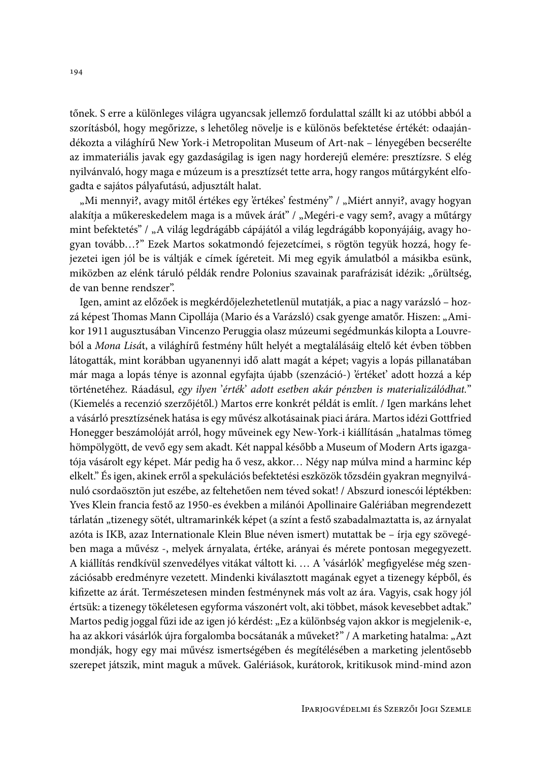tőnek. S erre a különleges világra ugyancsak jellemző fordulattal szállt ki az utóbbi abból a szorításból, hogy megőrizze, s lehetőleg növelje is e különös befektetése értékét: odaajándékozta a világhírű New York-i Metropolitan Museum of Art-nak – lényegében becserélte az immateriális javak egy gazdaságilag is igen nagy horderejű elemére: presztízsre. S elég nyilvánvaló, hogy maga e múzeum is a presztízsét tette arra, hogy rangos műtárgyként elfogadta e sajátos pályafutású, adjusztált halat.

"Mi mennyi?, avagy mitől értékes egy 'értékes' festmény" / "Miért annyi?, avagy hogyan alakítja a műkereskedelem maga is a művek árát" / "Megéri-e vagy sem?, avagy a műtárgy mint befektetés" / "A világ legdrágább cápájától a világ legdrágább koponyájáig, avagy hogyan tovább...?" Ezek Martos sokatmondó fejezetcímei, s rögtön tegyük hozzá, hogy fejezetei igen jól be is váltják e címek ígéreteit. Mi meg egyik ámulatból a másikba esünk, miközben az elénk táruló példák rendre Polonius szavainak parafrázisát idézik: "őrültség, de van benne rendszer".

Igen, amint az előzőek is megkérdőjelezhetetlenül mutatják, a piac a nagy varázsló – hozzá képest Thomas Mann Cipollája (Mario és a Varázsló) csak gyenge amatőr. Hiszen: "Amikor 1911 augusztusában Vincenzo Peruggia olasz múzeumi segédmunkás kilopta a Louvreból a Mona Lisát, a világhírű festmény hűlt helyét a megtalálásáig eltelő két évben többen látogatták, mint korábban ugyanennyi idő alatt magát a képet; vagyis a lopás pillanatában már maga a lopás ténye is azonnal egyfajta újabb (szenzáció-) 'értéket' adott hozzá a kép történetéhez. Ráadásul, egy ilyen 'érték' adott esetben akár pénzben is materializálódhat." (Kiemelés a recenzió szerzőjétől.) Martos erre konkrét példát is említ. / Igen markáns lehet a vásárló presztízsének hatása is egy művész alkotásainak piaci árára. Martos idézi Gottfried Honegger beszámolóját arról, hogy műveinek egy New-York-i kiállításán "hatalmas tömeg hömpölygött, de vevő egy sem akadt. Két nappal később a Museum of Modern Arts igazgatója vásárolt egy képet. Már pedig ha ő vesz, akkor... Négy nap múlva mind a harminc kép elkelt." És igen, akinek erről a spekulációs befektetési eszközök tőzsdéin gyakran megnyilvánuló csordaösztön jut eszébe, az feltehetően nem téved sokat! / Abszurd ionescói léptékben: Yves Klein francia festő az 1950-es években a milánói Apollinaire Galériában megrendezett tárlatán "tizenegy sötét, ultramarinkék képet (a színt a festő szabadalmaztatta is, az árnyalat azóta is IKB, azaz Internationale Klein Blue néven ismert) mutattak be – írja egy szövegében maga a művész -, melyek árnyalata, értéke, arányai és mérete pontosan megegyezett. A kiállítás rendkívül szenvedélyes vitákat váltott ki. ... A 'vásárlók' megfigyelése még szenzációsabb eredményre vezetett. Mindenki kiválasztott magának egyet a tizenegy képből, és kifizette az árát. Természetesen minden festménynek más volt az ára. Vagyis, csak hogy jól értsük: a tizenegy tökéletesen egyforma vászonért volt, aki többet, mások kevesebbet adtak." Martos pedig joggal fűzi ide az igen jó kérdést: "Ez a különbség vajon akkor is megjelenik-e, ha az akkori vásárlók újra forgalomba bocsátanák a műveket?" / A marketing hatalma: "Azt mondják, hogy egy mai művész ismertségében és megítélésében a marketing jelentősebb szerepet játszik, mint maguk a művek. Galériások, kurátorok, kritikusok mind-mind azon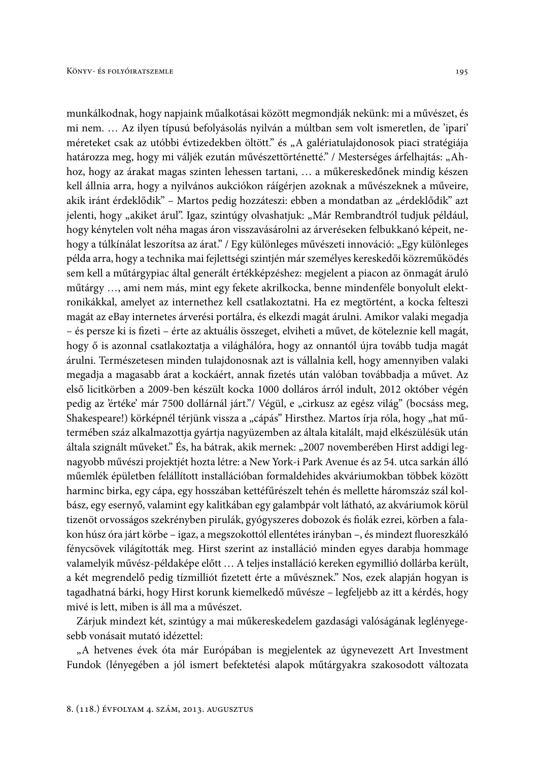munkálkodnak, hogy napjaink műalkotásai között megmondják nekünk: mi a művészet, és mi nem. ... Az ilyen típusú befolyásolás nyilván a múltban sem volt ismeretlen, de 'ipari' méreteket csak az utóbbi évtizedekben öltött." és "A galériatulajdonosok piaci stratégiája határozza meg, hogy mi váljék ezután művészettörténetté." / Mesterséges árfelhajtás: "Ahhoz, hogy az árakat magas szinten lehessen tartani, ... a műkereskedőnek mindig készen kell állnia arra, hogy a nyilvános aukciókon ráígérjen azoknak a művészeknek a műveire, akik iránt érdeklődik" – Martos pedig hozzáteszi: ebben a mondatban az "érdeklődik" azt jelenti, hogy "akiket árul". Igaz, szintúgy olvashatjuk: "Már Rembrandtról tudjuk például, hogy kénytelen volt néha magas áron visszavásárolni az árveréseken felbukkanó képeit, nehogy a túlkínálat leszorítsa az árat." / Egy különleges művészeti innováció: "Egy különleges példa arra, hogy a technika mai fejlettségi szintjén már személyes kereskedői közreműködés sem kell a műtárgypiac által generált értékképzéshez: megjelent a piacon az önmagát áruló műtárgy ..., ami nem más, mint egy fekete akrilkocka, benne mindenféle bonyolult elektronikákkal, amelyet az internethez kell csatlakoztatni. Ha ez megtörtént, a kocka felteszi magát az eBay internetes árverési portálra, és elkezdi magát árulni. Amikor valaki megadja - és persze ki is fizeti - érte az aktuális összeget, elviheti a művet, de köteleznie kell magát, hogy ő is azonnal csatlakoztatja a világhálóra, hogy az onnantól újra tovább tudja magát árulni. Természetesen minden tulajdonosnak azt is vállalnia kell, hogy amennyiben valaki megadja a magasabb árat a kockáért, annak fizetés után valóban továbbadja a művet. Az első licitkörben a 2009-ben készült kocka 1000 dolláros árról indult, 2012 október végén pedig az 'értéke' már 7500 dollárnál járt."/ Végül, e "cirkusz az egész világ" (bocsáss meg, Shakespeare!) körképnél térjünk vissza a "cápás" Hirsthez. Martos írja róla, hogy "hat műtermében száz alkalmazottja gyártja nagyüzemben az általa kitalált, majd elkészülésük után általa szignált műveket." És, ha bátrak, akik mernek: "2007 novemberében Hirst addigi legnagyobb művészi projektjét hozta létre: a New York-i Park Avenue és az 54. utca sarkán álló műemlék épületben felállított installációban formaldehides akváriumokban többek között harminc birka, egy cápa, egy hosszában kettéfűrészelt tehén és mellette háromszáz szál kolbász, egy esernyő, valamint egy kalitkában egy galambpár volt látható, az akváriumok körül tizenöt orvosságos szekrényben pirulák, gyógyszeres dobozok és fiolák ezrei, körben a falakon húsz óra járt körbe - igaz, a megszokottól ellentétes irányban -, és mindezt fluoreszkáló fénycsövek világították meg. Hirst szerint az installáció minden egyes darabja hommage valamelyik művész-példaképe előtt ... A teljes installáció kereken egymillió dollárba került, a két megrendelő pedig tízmilliót fizetett érte a művésznek." Nos, ezek alapján hogyan is tagadhatná bárki, hogy Hirst korunk kiemelkedő művésze – legfeljebb az itt a kérdés, hogy mivé is lett, miben is áll ma a művészet.

Zárjuk mindezt két, szintúgy a mai műkereskedelem gazdasági valóságának leglényegesebb vonásait mutató idézettel:

"A hetvenes évek óta már Európában is megjelentek az úgynevezett Art Investment Fundok (lényegében a jól ismert befektetési alapok műtárgyakra szakosodott változata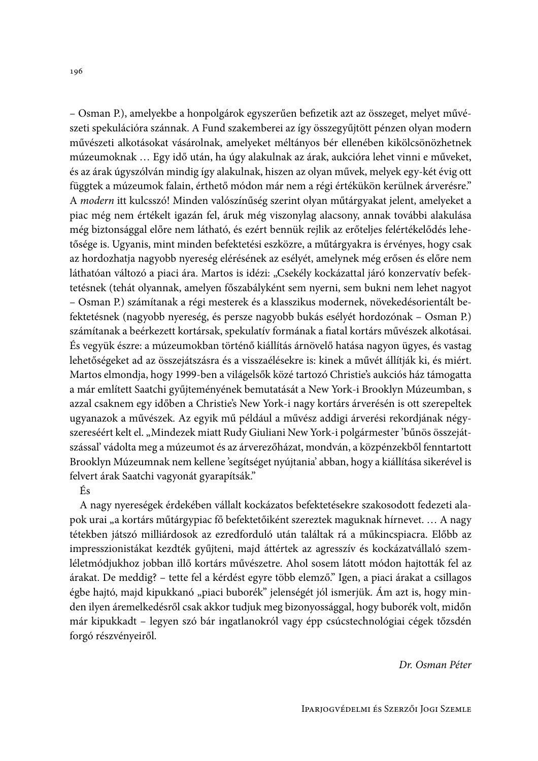– Osman P.), amelyekbe a honpolgárok egyszerűen befizetik azt az összeget, melyet művészeti spekulációra szánnak. A Fund szakemberei az így összegyűjtött pénzen olyan modern művészeti alkotásokat vásárolnak, amelyeket méltányos bér ellenében kikölcsönözhetnek múzeumoknak ... Egy idő után, ha úgy alakulnak az árak, aukcióra lehet vinni e műveket, és az árak úgyszólván mindig így alakulnak, hiszen az olyan művek, melyek egy-két évig ott függtek a múzeumok falain, érthető módon már nem a régi értékükön kerülnek árverésre." A modern itt kulcsszó! Minden valószínűség szerint olyan műtárgyakat jelent, amelyeket a piac még nem értékelt igazán fel, áruk még viszonylag alacsony, annak további alakulása még biztonsággal előre nem látható, és ezért bennük rejlik az erőteljes felértékelődés lehetősége is. Ugyanis, mint minden befektetési eszközre, a műtárgyakra is érvényes, hogy csak az hordozhatja nagyobb nyereség elérésének az esélyét, amelynek még erősen és előre nem láthatóan változó a piaci ára. Martos is idézi: "Csekély kockázattal járó konzervatív befektetésnek (tehát olyannak, amelyen főszabályként sem nyerni, sem bukni nem lehet nagyot - Osman P.) számítanak a régi mesterek és a klasszikus modernek, növekedésorientált befektetésnek (nagyobb nyereség, és persze nagyobb bukás esélyét hordozónak – Osman P.) számítanak a beérkezett kortársak, spekulatív formának a fiatal kortárs művészek alkotásai. És vegyük észre: a múzeumokban történő kiállítás árnövelő hatása nagyon ügyes, és vastag lehetőségeket ad az összejátszásra és a visszaélésekre is: kinek a művét állítják ki, és miért. Martos elmondja, hogy 1999-ben a világelsők közé tartozó Christie's aukciós ház támogatta a már említett Saatchi gyűjteményének bemutatását a New York-i Brooklyn Múzeumban, s azzal csaknem egy időben a Christie's New York-i nagy kortárs árverésén is ott szerepeltek ugyanazok a művészek. Az egyik mű például a művész addigi árverési rekordjának négyszereséért kelt el. "Mindezek miatt Rudy Giuliani New York-i polgármester 'bűnös összejátszással' vádolta meg a múzeumot és az árverezőházat, mondván, a közpénzekből fenntartott Brooklyn Múzeumnak nem kellene 'segítséget nyújtania' abban, hogy a kiállítása sikerével is felvert árak Saatchi vagyonát gyarapítsák."

## És

A nagy nyereségek érdekében vállalt kockázatos befektetésekre szakosodott fedezeti alapok urai "a kortárs műtárgypiac fő befektetőiként szereztek maguknak hírnevet.... A nagy tétekben játszó milliárdosok az ezredforduló után találtak rá a műkincspiacra. Előbb az impresszionistákat kezdték gyűjteni, majd áttértek az agresszív és kockázatvállaló szemléletmódjukhoz jobban illő kortárs művészetre. Ahol sosem látott módon hajtották fel az árakat. De meddig? – tette fel a kérdést egyre több elemző." Igen, a piaci árakat a csillagos égbe hajtó, majd kipukkanó "piaci buborék" jelenségét jól ismerjük. Ám azt is, hogy minden ilyen áremelkedésről csak akkor tudjuk meg bizonyossággal, hogy buborék volt, midőn már kipukkadt – legyen szó bár ingatlanokról vagy épp csúcstechnológiai cégek tőzsdén forgó részvényeiről.

Dr. Osman Péter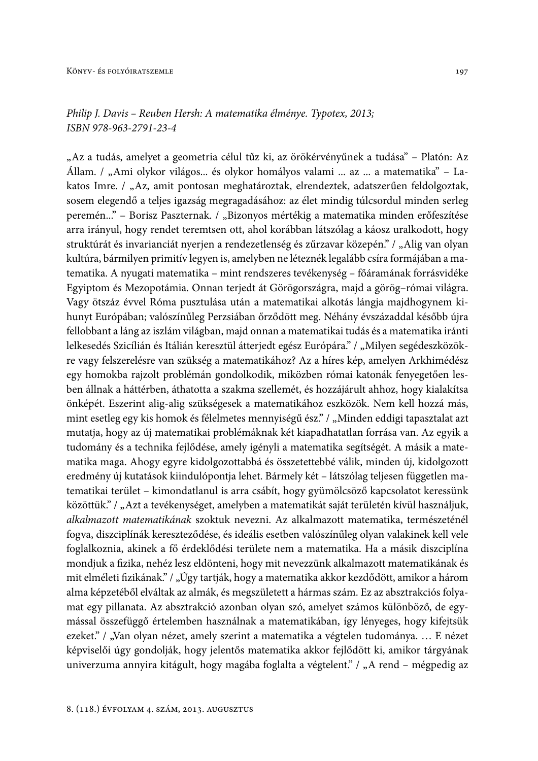# Philip J. Davis – Reuben Hersh: A matematika élménye. Typotex, 2013; ISBN 978-963-2791-23-4

"Az a tudás, amelyet a geometria célul tűz ki, az örökérvényűnek a tudása" – Platón: Az Állam. / "Ami olykor világos... és olykor homályos valami ... az ... a matematika" - Lakatos Imre. / "Az, amit pontosan meghatároztak, elrendeztek, adatszerűen feldolgoztak, sosem elegendő a teljes igazság megragadásához: az élet mindig túlcsordul minden serleg peremén..." - Borisz Paszternak. / "Bizonyos mértékig a matematika minden erőfeszítése arra irányul, hogy rendet teremtsen ott, ahol korábban látszólag a káosz uralkodott, hogy struktúrát és invarianciát nyerjen a rendezetlenség és zűrzavar közepén." / "Alig van olyan kultúra, bármilyen primitív legyen is, amelyben ne léteznék legalább csíra formájában a matematika. A nyugati matematika - mint rendszeres tevékenység - főáramának forrásvidéke Egyiptom és Mezopotámia. Onnan terjedt át Görögországra, majd a görög-római világra. Vagy ötszáz évvel Róma pusztulása után a matematikai alkotás lángja majdhogynem kihunyt Európában; valószínűleg Perzsiában őrződött meg. Néhány évszázaddal később újra fellobbant a láng az iszlám világban, majd onnan a matematikai tudás és a matematika iránti lelkesedés Szicílián és Itálián keresztül átterjedt egész Európára." / "Milyen segédeszközökre vagy felszerelésre van szükség a matematikához? Az a híres kép, amelyen Arkhimédész egy homokba rajzolt problémán gondolkodik, miközben római katonák fenyegetően lesben állnak a háttérben, áthatotta a szakma szellemét, és hozzájárult ahhoz, hogy kialakítsa önképét. Eszerint alig-alig szükségesek a matematikához eszközök. Nem kell hozzá más, mint esetleg egy kis homok és félelmetes mennyiségű ész." / "Minden eddigi tapasztalat azt mutatja, hogy az új matematikai problémáknak két kiapadhatatlan forrása van. Az egyik a tudomány és a technika fejlődése, amely igényli a matematika segítségét. A másik a matematika maga. Ahogy egyre kidolgozottabbá és összetettebbé válik, minden új, kidolgozott eredmény új kutatások kiindulópontja lehet. Bármely két - látszólag teljesen független matematikai terület – kimondatlanul is arra csábít, hogy gyümölcsöző kapcsolatot keressünk közöttük." / "Azt a tevékenységet, amelyben a matematikát saját területén kívül használjuk, alkalmazott matematikának szoktuk nevezni. Az alkalmazott matematika, természeténél fogva, diszciplínák kereszteződése, és ideális esetben valószínűleg olyan valakinek kell vele foglalkoznia, akinek a fő érdeklődési területe nem a matematika. Ha a másik diszciplína mondjuk a fizika, nehéz lesz eldönteni, hogy mit nevezzünk alkalmazott matematikának és mit elméleti fizikának." / "Úgy tartják, hogy a matematika akkor kezdődött, amikor a három alma képzetéből elváltak az almák, és megszületett a hármas szám. Ez az absztrakciós folyamat egy pillanata. Az absztrakció azonban olyan szó, amelyet számos különböző, de egymással összefüggő értelemben használnak a matematikában, így lényeges, hogy kifejtsük ezeket." / "Van olyan nézet, amely szerint a matematika a végtelen tudománya. ... E nézet képviselői úgy gondolják, hogy jelentős matematika akkor fejlődött ki, amikor tárgyának univerzuma annyira kitágult, hogy magába foglalta a végtelent." / "A rend – mégpedig az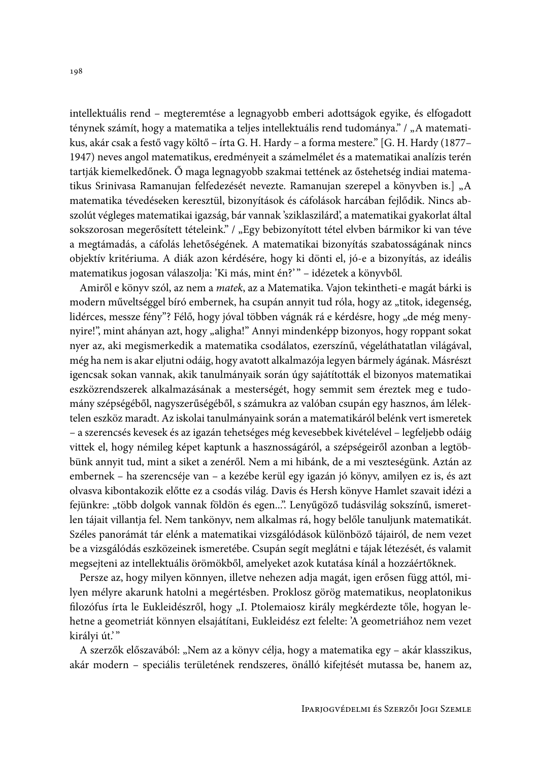intellektuális rend – megteremtése a legnagyobb emberi adottságok egyike, és elfogadott ténynek számít, hogy a matematika a teljes intellektuális rend tudománya." / "A matematikus, akár csak a festő vagy költő – írta G. H. Hardy – a forma mestere." [G. H. Hardy (1877– 1947) neves angol matematikus, eredményeit a számelmélet és a matematikai analízis terén tartják kiemelkedőnek. Ő maga legnagyobb szakmai tettének az őstehetség indiai matematikus Srinivasa Ramanujan felfedezését nevezte. Ramanujan szerepel a könyvben is.] "A matematika tévedéseken keresztül, bizonyítások és cáfolások harcában fejlődik. Nincs abszolút végleges matematikai igazság, bár vannak 'sziklaszilárd', a matematikai gyakorlat által sokszorosan megerősített tételeink." / "Egy bebizonyított tétel elvben bármikor ki van téve a megtámadás, a cáfolás lehetőségének. A matematikai bizonyítás szabatosságának nincs objektív kritériuma. A diák azon kérdésére, hogy ki dönti el, jó-e a bizonyítás, az ideális matematikus jogosan válaszolja: 'Ki más, mint én?'" - idézetek a könyvből.

Amiről e könyv szól, az nem a matek, az a Matematika. Vajon tekintheti-e magát bárki is modern műveltséggel bíró embernek, ha csupán annyit tud róla, hogy az "titok, idegenség, lidérces, messze fény"? Félő, hogy jóval többen vágnák rá e kérdésre, hogy "de még menynyire!", mint ahányan azt, hogy "aligha!" Annyi mindenképp bizonyos, hogy roppant sokat nyer az, aki megismerkedik a matematika csodálatos, ezerszínű, végeláthatatlan világával, még ha nem is akar eljutni odáig, hogy avatott alkalmazója legyen bármely ágának. Másrészt igencsak sokan vannak, akik tanulmányaik során úgy sajátították el bizonyos matematikai eszközrendszerek alkalmazásának a mesterségét, hogy semmit sem éreztek meg e tudomány szépségéből, nagyszerűségéből, s számukra az valóban csupán egy hasznos, ám lélektelen eszköz maradt. Az iskolai tanulmányaink során a matematikáról belénk vert ismeretek - a szerencsés kevesek és az igazán tehetséges még kevesebbek kivételével - legfeljebb odáig vittek el, hogy némileg képet kaptunk a hasznosságáról, a szépségeiről azonban a legtöbbünk annyit tud, mint a siket a zenéről. Nem a mi hibánk, de a mi veszteségünk. Aztán az embernek - ha szerencséje van - a kezébe kerül egy igazán jó könyv, amilyen ez is, és azt olvasva kibontakozik előtte ez a csodás világ. Davis és Hersh könyve Hamlet szavait idézi a fejünkre: "több dolgok vannak földön és egen...". Lenyűgöző tudásvilág sokszínű, ismeretlen tájait villantja fel. Nem tankönyv, nem alkalmas rá, hogy belőle tanuljunk matematikát. Széles panorámát tár elénk a matematikai vizsgálódások különböző tájairól, de nem vezet be a vizsgálódás eszközeinek ismeretébe. Csupán segít meglátni e tájak létezését, és valamit megsejteni az intellektuális örömökből, amelyeket azok kutatása kínál a hozzáértőknek.

Persze az, hogy milyen könnyen, illetve nehezen adja magát, igen erősen függ attól, milyen mélyre akarunk hatolni a megértésben. Proklosz görög matematikus, neoplatonikus filozófus írta le Eukleidészről, hogy "I. Ptolemaiosz király megkérdezte tőle, hogyan lehetne a geometriát könnyen elsajátítani, Eukleidész ezt felelte: 'A geometriához nem vezet királyi út.'"

A szerzők előszavából: "Nem az a könyv célja, hogy a matematika egy – akár klasszikus, akár modern - speciális területének rendszeres, önálló kifejtését mutassa be, hanem az,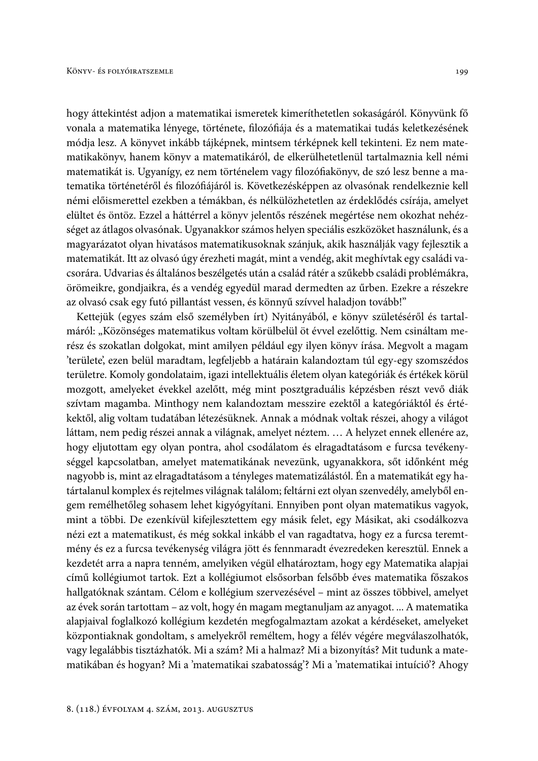hogy áttekintést adjon a matematikai ismeretek kimeríthetetlen sokaságáról. Könyvünk fő vonala a matematika lényege, története, filozófiája és a matematikai tudás keletkezésének módja lesz. A könyvet inkább tájképnek, mintsem térképnek kell tekinteni. Ez nem matematikakönyv, hanem könyv a matematikáról, de elkerülhetetlenül tartalmaznia kell némi matematikát is. Ugyanígy, ez nem történelem vagy filozófiakönyv, de szó lesz benne a matematika történetéről és filozófiájáról is. Következésképpen az olvasónak rendelkeznie kell némi előismerettel ezekben a témákban, és nélkülözhetetlen az érdeklődés csírája, amelyet elültet és öntöz. Ezzel a háttérrel a könyv jelentős részének megértése nem okozhat nehézséget az átlagos olvasónak. Ugyanakkor számos helyen speciális eszközöket használunk, és a magyarázatot olyan hivatásos matematikusoknak szánjuk, akik használják vagy fejlesztik a matematikát. Itt az olvasó úgy érezheti magát, mint a vendég, akit meghívtak egy családi vacsorára. Udvarias és általános beszélgetés után a család rátér a szűkebb családi problémákra, örömeikre, gondjaikra, és a vendég egyedül marad dermedten az űrben. Ezekre a részekre az olvasó csak egy futó pillantást vessen, és könnyű szívvel haladjon tovább!"

Kettejük (egyes szám első személyben írt) Nyitányából, e könyv születéséről és tartalmáról: "Közönséges matematikus voltam körülbelül öt évvel ezelőttig. Nem csináltam merész és szokatlan dolgokat, mint amilyen például egy ilyen könyv írása. Megvolt a magam 'területe', ezen belül maradtam, legfeljebb a határain kalandoztam túl egy-egy szomszédos területre. Komoly gondolataim, igazi intellektuális életem olyan kategóriák és értékek körül mozgott, amelyeket évekkel azelőtt, még mint posztgraduális képzésben részt vevő diák szívtam magamba. Minthogy nem kalandoztam messzire ezektől a kategóriáktól és értékektől, alig voltam tudatában létezésüknek. Annak a módnak voltak részei, ahogy a világot láttam, nem pedig részei annak a világnak, amelyet néztem. ... A helyzet ennek ellenére az, hogy eljutottam egy olyan pontra, ahol csodálatom és elragadtatásom e furcsa tevékenységgel kapcsolatban, amelyet matematikának nevezünk, ugyanakkora, sőt időnként még nagyobb is, mint az elragadtatásom a tényleges matematizálástól. Én a matematikát egy határtalanul komplex és rejtelmes világnak találom; feltárni ezt olyan szenvedély, amelyből engem remélhetőleg sohasem lehet kigyógyítani. Ennyiben pont olyan matematikus vagyok, mint a többi. De ezenkívül kifejlesztettem egy másik felet, egy Másikat, aki csodálkozva nézi ezt a matematikust, és még sokkal inkább el van ragadtatva, hogy ez a furcsa teremtmény és ez a furcsa tevékenység világra jött és fennmaradt évezredeken keresztül. Ennek a kezdetét arra a napra tenném, amelyiken végül elhatároztam, hogy egy Matematika alapjai című kollégiumot tartok. Ezt a kollégiumot elsősorban felsőbb éves matematika főszakos hallgatóknak szántam. Célom e kollégium szervezésével – mint az összes többivel, amelyet az évek során tartottam - az volt, hogy én magam megtanuljam az anyagot. ... A matematika alapjaival foglalkozó kollégium kezdetén megfogalmaztam azokat a kérdéseket, amelyeket központiaknak gondoltam, s amelyekről reméltem, hogy a félév végére megválaszolhatók, vagy legalábbis tisztázhatók. Mi a szám? Mi a halmaz? Mi a bizonyítás? Mit tudunk a matematikában és hogyan? Mi a 'matematikai szabatosság'? Mi a 'matematikai intuíció'? Ahogy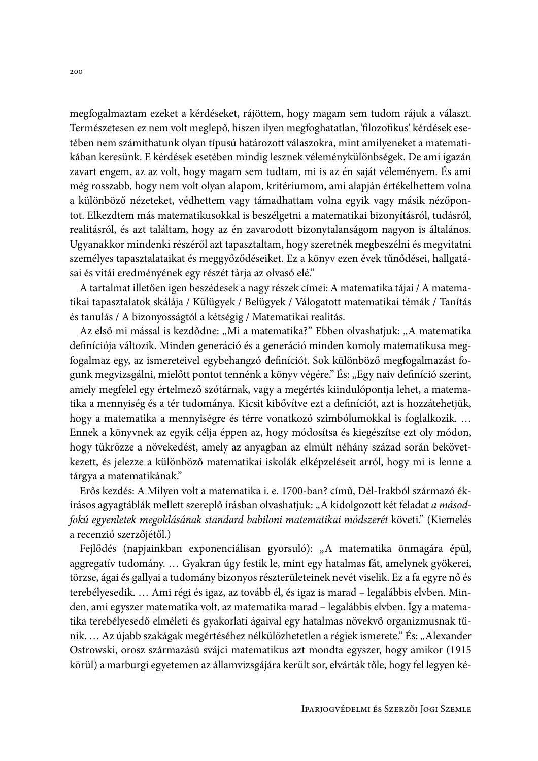megfogalmaztam ezeket a kérdéseket, rájöttem, hogy magam sem tudom rájuk a választ. Természetesen ez nem volt meglepő, hiszen ilyen megfoghatatlan, 'filozofikus' kérdések esetében nem számíthatunk olyan típusú határozott válaszokra, mint amilyeneket a matematikában keresünk. E kérdések esetében mindig lesznek véleménykülönbségek. De ami igazán zavart engem, az az volt, hogy magam sem tudtam, mi is az én saját véleményem. És ami még rosszabb, hogy nem volt olyan alapom, kritériumom, ami alapján értékelhettem volna a különböző nézeteket, védhettem vagy támadhattam volna egyik vagy másik nézőpontot. Elkezdtem más matematikusokkal is beszélgetni a matematikai bizonyításról, tudásról, realitásról, és azt találtam, hogy az én zavarodott bizonytalanságom nagyon is általános. Ugyanakkor mindenki részéről azt tapasztaltam, hogy szeretnék megbeszélni és megvitatni személyes tapasztalataikat és meggyőződéseiket. Ez a könyv ezen évek tűnődései, hallgatásai és vitái eredményének egy részét tárja az olvasó elé."

A tartalmat illetően igen beszédesek a nagy részek címei: A matematika tájai / A matematikai tapasztalatok skálája / Külügyek / Belügyek / Válogatott matematikai témák / Tanítás és tanulás / A bizonyosságtól a kétségig / Matematikai realitás.

Az első mi mással is kezdődne: "Mi a matematika?" Ebben olvashatjuk: "A matematika definíciója változik. Minden generáció és a generáció minden komoly matematikusa megfogalmaz egy, az ismereteivel egybehangzó definíciót. Sok különböző megfogalmazást fogunk megvizsgálni, mielőtt pontot tennénk a könyv végére." És: "Egy naiv definíció szerint, amely megfelel egy értelmező szótárnak, vagy a megértés kiindulópontja lehet, a matematika a mennyiség és a tér tudománya. Kicsit kibővítve ezt a definíciót, azt is hozzátehetjük, hogy a matematika a mennyiségre és térre vonatkozó szimbólumokkal is foglalkozik.... Ennek a könyvnek az egyik célja éppen az, hogy módosítsa és kiegészítse ezt oly módon, hogy tükrözze a növekedést, amely az anyagban az elmúlt néhány század során bekövetkezett, és jelezze a különböző matematikai iskolák elképzeléseit arról, hogy mi is lenne a tárgya a matematikának."

Erős kezdés: A Milyen volt a matematika i. e. 1700-ban? című, Dél-Irakból származó ékírásos agyagtáblák mellett szereplő írásban olvashatjuk: "A kidolgozott két feladat a másodfokú egyenletek megoldásának standard babiloni matematikai módszerét követi." (Kiemelés a recenzió szerzőjétől.)

Fejlődés (napjainkban exponenciálisan gyorsuló): "A matematika önmagára épül, aggregatív tudomány. ... Gyakran úgy festik le, mint egy hatalmas fát, amelynek gyökerei, törzse, ágai és gallyai a tudomány bizonyos részterületeinek nevét viselik. Ez a fa egyre nő és terebélyesedik.... Ami régi és igaz, az tovább él, és igaz is marad – legalábbis elvben. Minden, ami egyszer matematika volt, az matematika marad – legalábbis elvben. Így a matematika terebélyesedő elméleti és gyakorlati ágaival egy hatalmas növekvő organizmusnak tűnik. ... Az újabb szakágak megértéséhez nélkülözhetetlen a régiek ismerete." És: "Alexander Ostrowski, orosz származású svájci matematikus azt mondta egyszer, hogy amikor (1915 körül) a marburgi egyetemen az államvizsgájára került sor, elvárták tőle, hogy fel legyen ké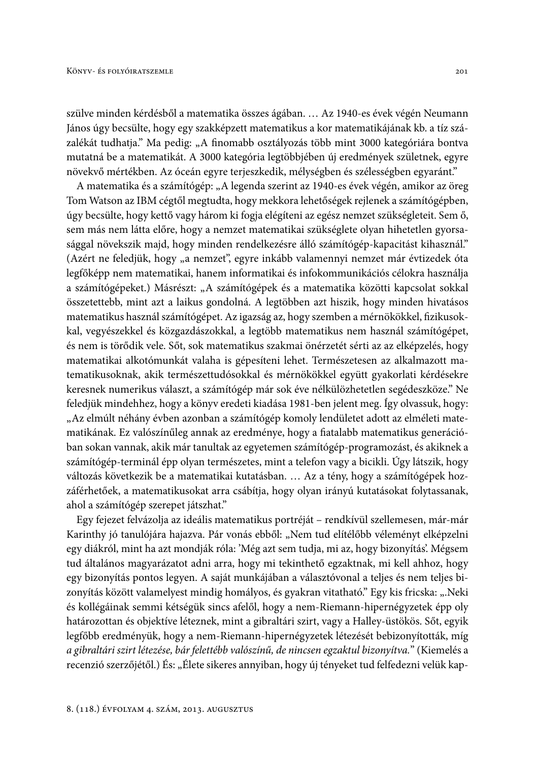szülve minden kérdésből a matematika összes ágában. ... Az 1940-es évek végén Neumann János úgy becsülte, hogy egy szakképzett matematikus a kor matematikájának kb. a tíz százalékát tudhatja." Ma pedig: "A finomabb osztályozás több mint 3000 kategóriára bontva mutatná be a matematikát. A 3000 kategória legtöbbjében új eredmények születnek, egyre növekvő mértékben. Az óceán egyre terjeszkedik, mélységben és szélességben egyaránt."

A matematika és a számítógép: "A legenda szerint az 1940-es évek végén, amikor az öreg Tom Watson az IBM cégtől megtudta, hogy mekkora lehetőségek rejlenek a számítógépben, úgy becsülte, hogy kettő vagy három ki fogja elégíteni az egész nemzet szükségleteit. Sem ő, sem más nem látta előre, hogy a nemzet matematikai szükséglete olyan hihetetlen gyorsasággal növekszik majd, hogy minden rendelkezésre álló számítógép-kapacitást kihasznál." (Azért ne feledjük, hogy "a nemzet", egyre inkább valamennyi nemzet már évtizedek óta legfőképp nem matematikai, hanem informatikai és infokommunikációs célokra használja a számítógépeket.) Másrészt: "A számítógépek és a matematika közötti kapcsolat sokkal összetettebb, mint azt a laikus gondolná. A legtöbben azt hiszik, hogy minden hivatásos matematikus használ számítógépet. Az igazság az, hogy szemben a mérnökökkel, fizikusokkal, vegyészekkel és közgazdászokkal, a legtöbb matematikus nem használ számítógépet, és nem is törődik vele. Sőt, sok matematikus szakmai önérzetét sérti az az elképzelés, hogy matematikai alkotómunkát valaha is gépesíteni lehet. Természetesen az alkalmazott matematikusoknak, akik természettudósokkal és mérnökökkel együtt gyakorlati kérdésekre keresnek numerikus választ, a számítógép már sok éve nélkülözhetetlen segédeszköze." Ne feledjük mindehhez, hogy a könyv eredeti kiadása 1981-ben jelent meg. Így olvassuk, hogy: "Az elmúlt néhány évben azonban a számítógép komoly lendületet adott az elméleti matematikának. Ez valószínűleg annak az eredménye, hogy a fiatalabb matematikus generációban sokan vannak, akik már tanultak az egyetemen számítógép-programozást, és akiknek a számítógép-terminál épp olyan természetes, mint a telefon vagy a bicikli. Úgy látszik, hogy változás következik be a matematikai kutatásban. ... Az a tény, hogy a számítógépek hozzáférhetőek, a matematikusokat arra csábítja, hogy olyan irányú kutatásokat folytassanak, ahol a számítógép szerepet játszhat."

Egy fejezet felvázolja az ideális matematikus portréját – rendkívül szellemesen, már-már Karinthy jó tanulójára hajazva. Pár vonás ebből: "Nem tud elítélőbb véleményt elképzelni egy diákról, mint ha azt mondják róla: 'Még azt sem tudja, mi az, hogy bizonyítás'. Mégsem tud általános magyarázatot adni arra, hogy mi tekinthető egzaktnak, mi kell ahhoz, hogy egy bizonyítás pontos legyen. A saját munkájában a választóvonal a teljes és nem teljes bizonyítás között valamelyest mindig homályos, és gyakran vitatható." Egy kis fricska: "Neki és kollégáinak semmi kétségük sincs afelől, hogy a nem-Riemann-hipernégyzetek épp oly határozottan és objektíve léteznek, mint a gibraltári szirt, vagy a Halley-üstökös. Sőt, egyik legfőbb eredményük, hogy a nem-Riemann-hipernégyzetek létezését bebizonyították, míg a gibraltári szirt létezése, bár felettébb valószínű, de nincsen egzaktul bizonyítva." (Kiemelés a recenzió szerzőjétől.) És: "Élete sikeres annyiban, hogy új tényeket tud felfedezni velük kap-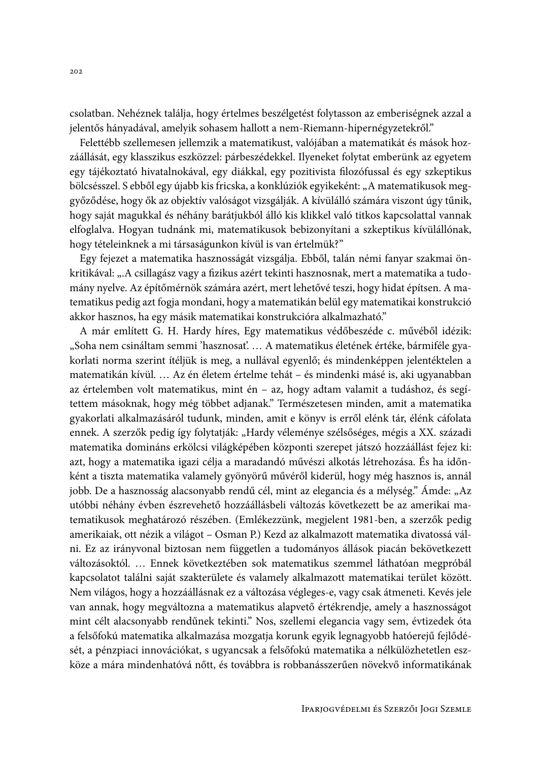csolatban. Nehéznek találja, hogy értelmes beszélgetést folytasson az emberiségnek azzal a jelentős hányadával, amelyik sohasem hallott a nem-Riemann-hipernégyzetekről."

Felettébb szellemesen jellemzik a matematikust, valójában a matematikát és mások hozzáállását, egy klasszikus eszközzel: párbeszédekkel. Ilyeneket folytat emberünk az egyetem egy tájékoztató hivatalnokával, egy diákkal, egy pozitivista filozófussal és egy szkeptikus bölcsésszel. S ebből egy újabb kis fricska, a konklúziók egyikeként: "A matematikusok meggyőződése, hogy ők az objektív valóságot vizsgálják. A kívülálló számára viszont úgy tűnik, hogy saját magukkal és néhány barátjukból álló kis klikkel való titkos kapcsolattal vannak elfoglalva. Hogyan tudnánk mi, matematikusok bebizonyítani a szkeptikus kívülállónak, hogy tételeinknek a mi társaságunkon kívül is van értelmük?"

Egy fejezet a matematika hasznosságát vizsgálja. Ebből, talán némi fanyar szakmai önkritikával: "A csillagász vagy a fizikus azért tekinti hasznosnak, mert a matematika a tudomány nyelve. Az építőmérnök számára azért, mert lehetővé teszi, hogy hidat építsen. A matematikus pedig azt fogja mondani, hogy a matematikán belül egy matematikai konstrukció akkor hasznos, ha egy másik matematikai konstrukcióra alkalmazható."

A már említett G. H. Hardy híres, Egy matematikus védőbeszéde c. művéből idézik: "Soha nem csináltam semmi 'hasznosať.... A matematikus életének értéke, bármiféle gyakorlati norma szerint ítéljük is meg, a nullával egyenlő; és mindenképpen jelentéktelen a matematikán kívül. ... Az én életem értelme tehát – és mindenki másé is, aki ugyanabban az értelemben volt matematikus, mint én - az, hogy adtam valamit a tudáshoz, és segítettem másoknak, hogy még többet adjanak." Természetesen minden, amit a matematika gyakorlati alkalmazásáról tudunk, minden, amit e könyv is erről elénk tár, élénk cáfolata ennek. A szerzők pedig így folytatják: "Hardy véleménye szélsőséges, mégis a XX. századi matematika domináns erkölcsi világképében központi szerepet játszó hozzáállást fejez ki: azt, hogy a matematika igazi célja a maradandó művészi alkotás létrehozása. És ha időnként a tiszta matematika valamely gyönyörű művéről kiderül, hogy még hasznos is, annál jobb. De a hasznosság alacsonyabb rendű cél, mint az elegancia és a mélység." Ámde: "Az utóbbi néhány évben észrevehető hozzáállásbeli változás következett be az amerikai matematikusok meghatározó részében. (Emlékezzünk, megjelent 1981-ben, a szerzők pedig amerikaiak, ott nézik a világot - Osman P.) Kezd az alkalmazott matematika divatossá válni. Ez az irányvonal biztosan nem független a tudományos állások piacán bekövetkezett változásoktól. ... Ennek következtében sok matematikus szemmel láthatóan megpróbál kapcsolatot találni saját szakterülete és valamely alkalmazott matematikai terület között. Nem világos, hogy a hozzáállásnak ez a változása végleges-e, vagy csak átmeneti. Kevés jele van annak, hogy megváltozna a matematikus alapvető értékrendje, amely a hasznosságot mint célt alacsonyabb rendűnek tekinti." Nos, szellemi elegancia vagy sem, évtizedek óta a felsőfokú matematika alkalmazása mozgatja korunk egyik legnagyobb hatóerejű fejlődését, a pénzpiaci innovációkat, s ugyancsak a felsőfokú matematika a nélkülözhetetlen eszköze a mára mindenhatóvá nőtt, és továbbra is robbanásszerűen növekvő informatikának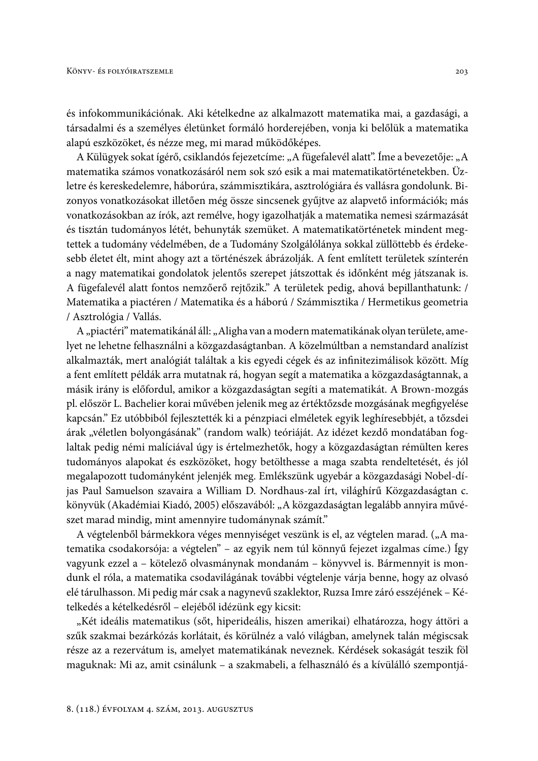és infokommunikációnak. Aki kételkedne az alkalmazott matematika mai, a gazdasági, a társadalmi és a személyes életünket formáló horderejében, vonja ki belőlük a matematika alapú eszközöket, és nézze meg, mi marad működőképes.

A Külügyek sokat ígérő, csiklandós fejezetcíme: "A fügefalevél alatt". Íme a bevezetője: "A matematika számos vonatkozásáról nem sok szó esik a mai matematikatörténetekben. Üzletre és kereskedelemre, háborúra, számmisztikára, asztrológiára és vallásra gondolunk. Bizonyos vonatkozásokat illetően még össze sincsenek gyűjtve az alapvető információk; más vonatkozásokban az írók, azt remélve, hogy igazolhatják a matematika nemesi származását és tisztán tudományos létét, behunyták szemüket. A matematikatörténetek mindent megtettek a tudomány védelmében, de a Tudomány Szolgálólánya sokkal züllöttebb és érdekesebb életet élt, mint ahogy azt a történészek ábrázolják. A fent említett területek színterén a nagy matematikai gondolatok jelentős szerepet játszottak és időnként még játszanak is. A fügefalevél alatt fontos nemzőerő rejtőzik." A területek pedig, ahová bepillanthatunk: / Matematika a piactéren / Matematika és a háború / Számmisztika / Hermetikus geometria / Asztrológia / Vallás.

A "piactéri" matematikánál áll: "Aligha van a modern matematikának olyan területe, amelyet ne lehetne felhasználni a közgazdaságtanban. A közelmúltban a nemstandard analízist alkalmazták, mert analógiát találtak a kis egyedi cégek és az infinitezimálisok között. Míg a fent említett példák arra mutatnak rá, hogyan segít a matematika a közgazdaságtannak, a másik irány is előfordul, amikor a közgazdaságtan segíti a matematikát. A Brown-mozgás pl. először L. Bachelier korai művében jelenik meg az értéktőzsde mozgásának megfigyelése kapcsán." Ez utóbbiból fejlesztették ki a pénzpiaci elméletek egyik leghíresebbjét, a tőzsdei árak "véletlen bolyongásának" (random walk) teóriáját. Az idézet kezdő mondatában foglaltak pedig némi malíciával úgy is értelmezhetők, hogy a közgazdaságtan rémülten keres tudományos alapokat és eszközöket, hogy betölthesse a maga szabta rendeltetését, és jól megalapozott tudományként jelenjék meg. Emlékszünk ugyebár a közgazdasági Nobel-díjas Paul Samuelson szavaira a William D. Nordhaus-zal írt, világhírű Közgazdaságtan c. könyvük (Akadémiai Kiadó, 2005) előszavából: "A közgazdaságtan legalább annyira művészet marad mindig, mint amennyire tudománynak számít."

A végtelenből bármekkora véges mennyiséget veszünk is el, az végtelen marad. ("A matematika csodakorsója: a végtelen" – az egyik nem túl könnyű fejezet izgalmas címe.) Így vagyunk ezzel a – kötelező olvasmánynak mondanám – könyvvel is. Bármennyit is mondunk el róla, a matematika csodavilágának további végtelenje várja benne, hogy az olvasó elé tárulhasson. Mi pedig már csak a nagynevű szaklektor, Ruzsa Imre záró esszéjének – Kételkedés a kételkedésről – elejéből idézünk egy kicsit:

"Két ideális matematikus (sőt, hiperideális, hiszen amerikai) elhatározza, hogy áttöri a szűk szakmai bezárkózás korlátait, és körülnéz a való világban, amelynek talán mégiscsak része az a rezervátum is, amelyet matematikának neveznek. Kérdések sokaságát teszik föl maguknak: Mi az, amit csinálunk – a szakmabeli, a felhasználó és a kívülálló szempontjá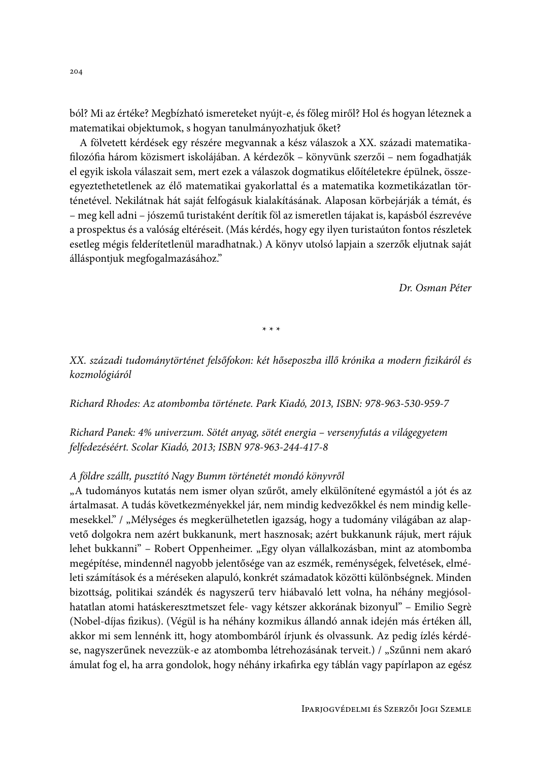ból? Mi az értéke? Megbízható ismereteket nyújt-e, és főleg miről? Hol és hogyan léteznek a matematikai objektumok, s hogyan tanulmányozhatjuk őket?

A fölvetett kérdések egy részére megvannak a kész válaszok a XX. századi matematikafilozófia három közismert iskolájában. A kérdezők – könyvünk szerzői – nem fogadhatják el egyik iskola válaszait sem, mert ezek a válaszok dogmatikus előítéletekre épülnek, összeegyeztethetetlenek az élő matematikai gyakorlattal és a matematika kozmetikázatlan történetével. Nekilátnak hát saját felfogásuk kialakításának. Alaposan körbejárják a témát, és – meg kell adni – jószemű turistaként derítik föl az ismeretlen tájakat is, kapásból észrevéve a prospektus és a valóság eltéréseit. (Más kérdés, hogy egy ilyen turistaúton fontos részletek esetleg mégis felderítetlenül maradhatnak.) A könyv utolsó lapjain a szerzők eljutnak saját álláspontjuk megfogalmazásához."

Dr. Osman Péter

 $* * *$ 

XX. századi tudománytörténet felsőfokon: két hőseposzba illő krónika a modern fizikáról és kozmológiáról

Richard Rhodes: Az atombomba története. Park Kiadó, 2013, ISBN: 978-963-530-959-7

Richard Panek: 4% univerzum. Sötét anyag, sötét energia - versenyfutás a világegyetem felfedezéséért. Scolar Kiadó, 2013; ISBN 978-963-244-417-8

## A földre szállt, pusztító Nagy Bumm történetét mondó könyvről

"A tudományos kutatás nem ismer olyan szűrőt, amely elkülönítené egymástól a jót és az ártalmasat. A tudás következményekkel jár, nem mindig kedvezőkkel és nem mindig kellemesekkel." / "Mélységes és megkerülhetetlen igazság, hogy a tudomány világában az alapvető dolgokra nem azért bukkanunk, mert hasznosak; azért bukkanunk rájuk, mert rájuk lehet bukkanni" – Robert Oppenheimer. "Egy olyan vállalkozásban, mint az atombomba megépítése, mindennél nagyobb jelentősége van az eszmék, reménységek, felvetések, elméleti számítások és a méréseken alapuló, konkrét számadatok közötti különbségnek. Minden bizottság, politikai szándék és nagyszerű terv hiábavaló lett volna, ha néhány megjósolhatatlan atomi hatáskeresztmetszet fele- vagy kétszer akkorának bizonyul" – Emilio Segrè (Nobel-díjas fizikus). (Végül is ha néhány kozmikus állandó annak idején más értéken áll, akkor mi sem lennénk itt, hogy atombombáról írjunk és olvassunk. Az pedig ízlés kérdése, nagyszerűnek nevezzük-e az atombomba létrehozásának terveit.) / "Szűnni nem akaró ámulat fog el, ha arra gondolok, hogy néhány irkafirka egy táblán vagy papírlapon az egész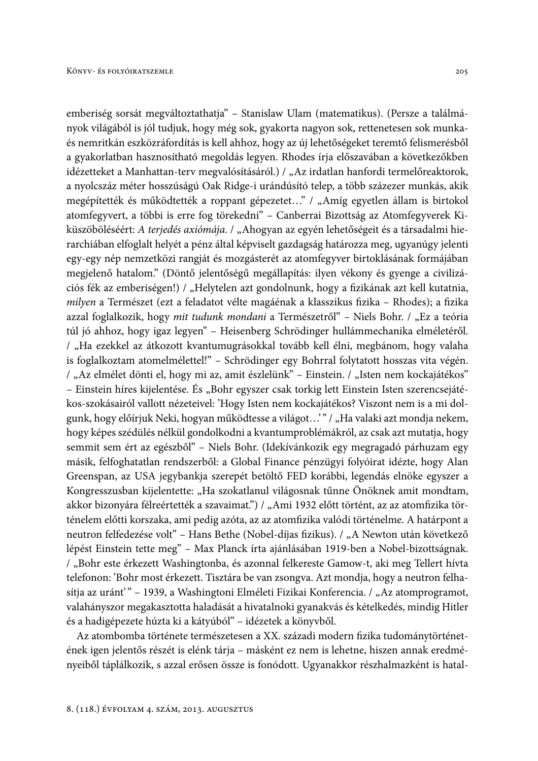emberiség sorsát megváltoztathatja" – Stanislaw Ulam (matematikus). (Persze a találmányok világából is jól tudjuk, hogy még sok, gyakorta nagyon sok, rettenetesen sok munkaés nemritkán eszközráfordítás is kell ahhoz, hogy az új lehetőségeket teremtő felismerésből a gyakorlatban hasznosítható megoldás legyen. Rhodes írja előszavában a következőkben idézetteket a Manhattan-terv megvalósításáról.) / "Az irdatlan hanfordi termelőreaktorok, a nyolcszáz méter hosszúságú Oak Ridge-i urándúsító telep, a több százezer munkás, akik megépítették és működtették a roppant gépezetet..." / "Amíg egyetlen állam is birtokol atomfegyvert, a többi is erre fog törekedni" – Canberrai Bizottság az Atomfegyverek Kiküszöböléséért: A terjedés axiómája. / "Ahogyan az egyén lehetőségeit és a társadalmi hierarchiában elfoglalt helyét a pénz által képviselt gazdagság határozza meg, ugyanúgy jelenti egy-egy nép nemzetközi rangját és mozgásterét az atomfegyver birtoklásának formájában megjelenő hatalom." (Döntő jelentőségű megállapítás: ilyen vékony és gyenge a civilizációs fék az emberiségen!) / "Helytelen azt gondolnunk, hogy a fizikának azt kell kutatnia, milyen a Természet (ezt a feladatot vélte magáénak a klasszikus fizika – Rhodes); a fizika azzal foglalkozik, hogy mit tudunk mondani a Természetről" – Niels Bohr. / "Ez a teória túl jó ahhoz, hogy igaz legyen" – Heisenberg Schrödinger hullámmechanika elméletéről. / "Ha ezekkel az átkozott kvantumugrásokkal tovább kell élni, megbánom, hogy valaha is foglalkoztam atomelmélettel!" – Schrödinger egy Bohrral folytatott hosszas vita végén. / "Az elmélet dönti el, hogy mi az, amit észlelünk" – Einstein. / "Isten nem kockajátékos" - Einstein híres kijelentése. És "Bohr egyszer csak torkig lett Einstein Isten szerencsejátékos-szokásairól vallott nézeteivel: 'Hogy Isten nem kockajátékos? Viszont nem is a mi dolgunk, hogy előírjuk Neki, hogyan működtesse a világot...'" / "Ha valaki azt mondja nekem, hogy képes szédülés nélkül gondolkodni a kvantumproblémákról, az csak azt mutatja, hogy semmit sem ért az egészből" – Niels Bohr. (Idekívánkozik egy megragadó párhuzam egy másik, felfoghatatlan rendszerből: a Global Finance pénzügyi folyóirat idézte, hogy Alan Greenspan, az USA jegybankja szerepét betöltő FED korábbi, legendás elnöke egyszer a Kongresszusban kijelentette: "Ha szokatlanul világosnak tűnne Önöknek amit mondtam, akkor bizonyára félreértették a szavaimat.") / "Ami 1932 előtt történt, az az atomfizika történelem előtti korszaka, ami pedig azóta, az az atomfizika valódi történelme. A határpont a neutron felfedezése volt" - Hans Bethe (Nobel-díjas fizikus). / "A Newton után következő lépést Einstein tette meg" – Max Planck írta ajánlásában 1919-ben a Nobel-bizottságnak. / "Bohr este érkezett Washingtonba, és azonnal felkereste Gamow-t, aki meg Tellert hívta telefonon: 'Bohr most érkezett. Tisztára be van zsongva. Azt mondja, hogy a neutron felhasítja az uránt<sup>3</sup> – 1939, a Washingtoni Elméleti Fizikai Konferencia. / "Az atomprogramot, valahányszor megakasztotta haladását a hivatalnoki gyanakvás és kételkedés, mindig Hitler és a hadigépezete húzta ki a kátyúból" – idézetek a könyvből.

Az atombomba története természetesen a XX. századi modern fizika tudománytörténetének igen jelentős részét is elénk tárja – másként ez nem is lehetne, hiszen annak eredményeiből táplálkozik, s azzal erősen össze is fonódott. Ugyanakkor részhalmazként is hatal-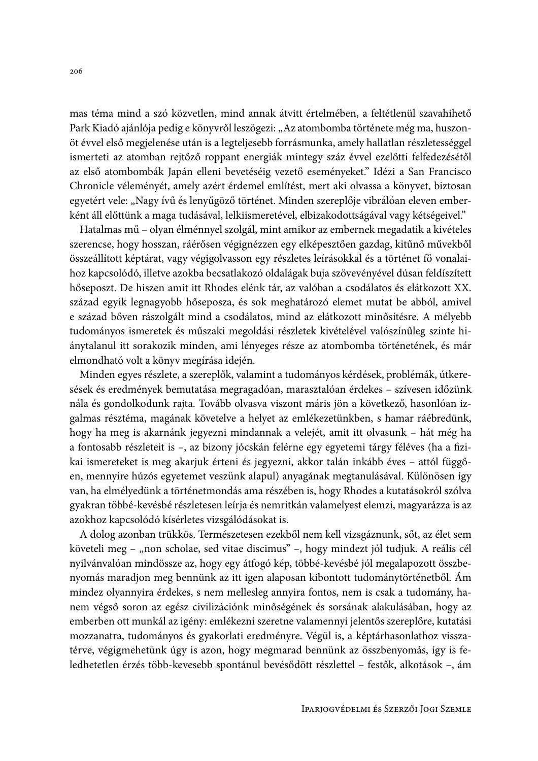mas téma mind a szó közvetlen, mind annak átvitt értelmében, a feltétlenül szavahihető Park Kiadó ajánlója pedig e könyvről leszögezi: "Az atombomba története még ma, huszonöt évvel első megjelenése után is a legteljesebb forrásmunka, amely hallatlan részletességgel ismerteti az atomban rejtőző roppant energiák mintegy száz évvel ezelőtti felfedezésétől az első atombombák Japán elleni bevetéséig vezető eseményeket." Idézi a San Francisco Chronicle véleményét, amely azért érdemel említést, mert aki olvassa a könyvet, biztosan egyetért vele: "Nagy ívű és lenyűgöző történet. Minden szereplője vibrálóan eleven emberként áll előttünk a maga tudásával, lelkiismeretével, elbizakodottságával vagy kétségeivel."

Hatalmas mű – olyan élménnyel szolgál, mint amikor az embernek megadatik a kivételes szerencse, hogy hosszan, ráérősen végignézzen egy elképesztően gazdag, kitűnő művekből összeállított képtárat, vagy végigolvasson egy részletes leírásokkal és a történet fő vonalaihoz kapcsolódó, illetve azokba becsatlakozó oldalágak buja szövevényével dúsan feldíszített hőseposzt. De hiszen amit itt Rhodes elénk tár, az valóban a csodálatos és elátkozott XX. század egyik legnagyobb hőseposza, és sok meghatározó elemet mutat be abból, amivel e század bőven rászolgált mind a csodálatos, mind az elátkozott minősítésre. A mélyebb tudományos ismeretek és műszaki megoldási részletek kivételével valószínűleg szinte hiánytalanul itt sorakozik minden, ami lényeges része az atombomba történetének, és már elmondható volt a könyv megírása idején.

Minden egyes részlete, a szereplők, valamint a tudományos kérdések, problémák, útkeresések és eredmények bemutatása megragadóan, marasztalóan érdekes – szívesen időzünk nála és gondolkodunk rajta. Tovább olvasva viszont máris jön a következő, hasonlóan izgalmas résztéma, magának követelve a helyet az emlékezetünkben, s hamar ráébredünk, hogy ha meg is akarnánk jegyezni mindannak a velejét, amit itt olvasunk – hát még ha a fontosabb részleteit is -, az bizony jócskán felérne egy egyetemi tárgy féléves (ha a fizikai ismereteket is meg akarjuk érteni és jegyezni, akkor talán inkább éves - attól függően, mennyire húzós egyetemet veszünk alapul) anyagának megtanulásával. Különösen így van, ha elmélyedünk a történetmondás ama részében is, hogy Rhodes a kutatásokról szólva gyakran többé-kevésbé részletesen leírja és nemritkán valamelyest elemzi, magyarázza is az azokhoz kapcsolódó kísérletes vizsgálódásokat is.

A dolog azonban trükkös. Természetesen ezekből nem kell vizsgáznunk, sőt, az élet sem követeli meg – "non scholae, sed vitae discimus" –, hogy mindezt jól tudjuk. A reális cél nyilvánvalóan mindössze az, hogy egy átfogó kép, többé-kevésbé jól megalapozott összbenyomás maradjon meg bennünk az itt igen alaposan kibontott tudománytörténetből. Ám mindez olyannyira érdekes, s nem mellesleg annyira fontos, nem is csak a tudomány, hanem végső soron az egész civilizációnk minőségének és sorsának alakulásában, hogy az emberben ott munkál az igény: emlékezni szeretne valamennyi jelentős szereplőre, kutatási mozzanatra, tudományos és gyakorlati eredményre. Végül is, a képtárhasonlathoz visszatérve, végigmehetünk úgy is azon, hogy megmarad bennünk az összbenyomás, így is feledhetetlen érzés több-kevesebb spontánul bevésődött részlettel – festők, alkotások –, ám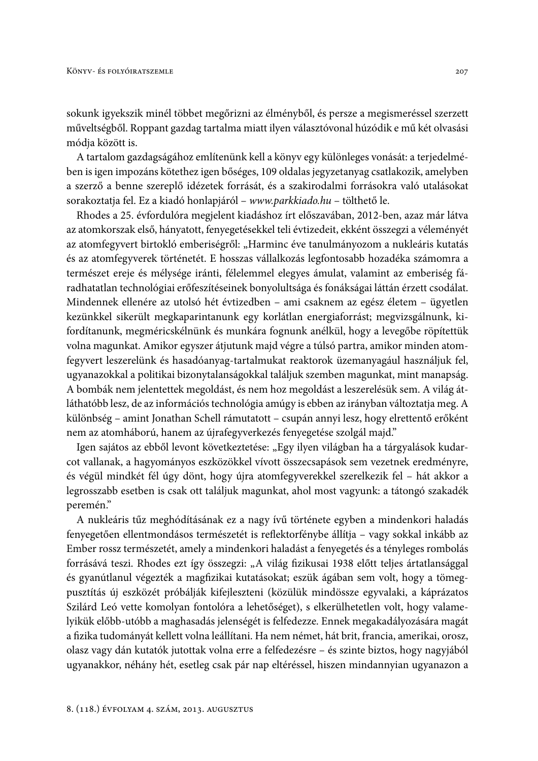sokunk igyekszik minél többet megőrizni az élményből, és persze a megismeréssel szerzett műveltségből. Roppant gazdag tartalma miatt ilyen választóvonal húzódik e mű két olvasási módja között is.

A tartalom gazdagságához említenünk kell a könyv egy különleges vonását: a terjedelmében is igen impozáns kötethez igen bőséges, 109 oldalas jegyzetanyag csatlakozik, amelyben a szerző a benne szereplő idézetek forrását, és a szakirodalmi forrásokra való utalásokat sorakoztatja fel. Ez a kiadó honlapjáról – www.parkkiado.hu – tölthető le.

Rhodes a 25. évfordulóra megjelent kiadáshoz írt előszavában, 2012-ben, azaz már látva az atomkorszak első, hányatott, fenyegetésekkel teli évtizedeit, ekként összegzi a véleményét az atomfegyvert birtokló emberiségről: "Harminc éve tanulmányozom a nukleáris kutatás és az atomfegyverek történetét. E hosszas vállalkozás legfontosabb hozadéka számomra a természet ereje és mélysége iránti, félelemmel elegyes ámulat, valamint az emberiség fáradhatatlan technológiai erőfeszítéseinek bonyolultsága és fonákságai láttán érzett csodálat. Mindennek ellenére az utolsó hét évtizedben – ami csaknem az egész életem – ügyetlen kezünkkel sikerült megkaparintanunk egy korlátlan energiaforrást; megvizsgálnunk, kifordítanunk, megméricskélnünk és munkára fognunk anélkül, hogy a levegőbe röpítettük volna magunkat. Amikor egyszer átjutunk majd végre a túlsó partra, amikor minden atomfegyvert leszerelünk és hasadóanyag-tartalmukat reaktorok üzemanyagául használjuk fel, ugyanazokkal a politikai bizonytalanságokkal találjuk szemben magunkat, mint manapság. A bombák nem jelentettek megoldást, és nem hoz megoldást a leszerelésük sem. A világ átláthatóbb lesz, de az információs technológia amúgy is ebben az irányban változtatja meg. A különbség – amint Jonathan Schell rámutatott – csupán annyi lesz, hogy elrettentő erőként nem az atomháború, hanem az újrafegyverkezés fenyegetése szolgál majd."

Igen sajátos az ebből levont következtetése: "Egy ilyen világban ha a tárgyalások kudarcot vallanak, a hagyományos eszközökkel vívott összecsapások sem vezetnek eredményre, és végül mindkét fél úgy dönt, hogy újra atomfegyverekkel szerelkezik fel - hát akkor a legrosszabb esetben is csak ott találjuk magunkat, ahol most vagyunk: a tátongó szakadék peremén."

A nukleáris tűz meghódításának ez a nagy ívű története egyben a mindenkori haladás fenyegetően ellentmondásos természetét is reflektorfénybe állítja - vagy sokkal inkább az Ember rossz természetét, amely a mindenkori haladást a fenyegetés és a tényleges rombolás forrásává teszi. Rhodes ezt így összegzi: "A világ fizikusai 1938 előtt teljes ártatlansággal és gyanútlanul végezték a magfizikai kutatásokat; eszük ágában sem volt, hogy a tömegpusztítás új eszközét próbálják kifejleszteni (közülük mindössze egyvalaki, a káprázatos Szilárd Leó vette komolyan fontolóra a lehetőséget), s elkerülhetetlen volt, hogy valamelyikük előbb-utóbb a maghasadás jelenségét is felfedezze. Ennek megakadályozására magát a fizika tudományát kellett volna leállítani. Ha nem német, hát brit, francia, amerikai, orosz, olasz vagy dán kutatók jutottak volna erre a felfedezésre – és szinte biztos, hogy nagyjából ugyanakkor, néhány hét, esetleg csak pár nap eltéréssel, hiszen mindannyian ugyanazon a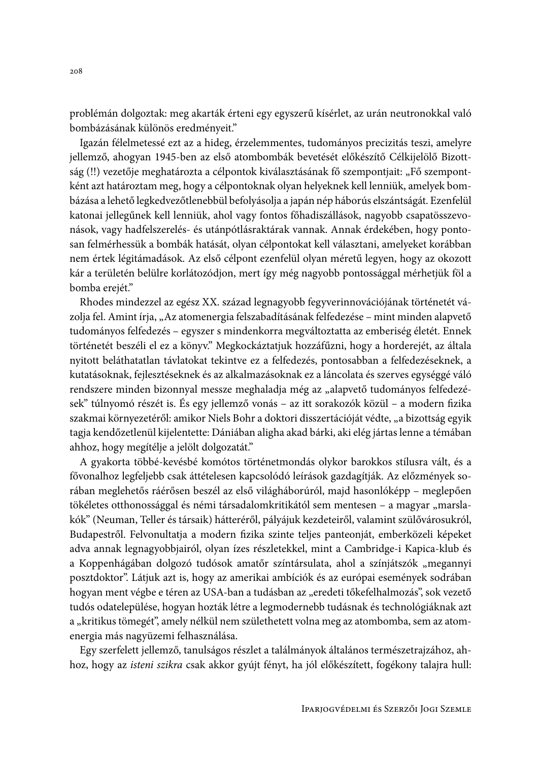problémán dolgoztak: meg akarták érteni egy egyszerű kísérlet, az urán neutronokkal való bombázásának különös eredményeit."

Igazán félelmetessé ezt az a hideg, érzelemmentes, tudományos precizitás teszi, amelyre jellemző, ahogyan 1945-ben az első atombombák bevetését előkészítő Célkijelölő Bizottság (!!) vezetője meghatározta a célpontok kiválasztásának fő szempontjait: "Fő szempontként azt határoztam meg, hogy a célpontoknak olyan helyeknek kell lenniük, amelyek bombázása a lehető legkedvezőtlenebbül befolyásolja a japán nép háborús elszántságát. Ezenfelül katonai jellegűnek kell lenniük, ahol vagy fontos főhadiszállások, nagyobb csapatösszevonások, vagy hadfelszerelés- és utánpótlásraktárak vannak. Annak érdekében, hogy pontosan felmérhessük a bombák hatását, olyan célpontokat kell választani, amelyeket korábban nem értek légitámadások. Az első célpont ezenfelül olyan méretű legyen, hogy az okozott kár a területén belülre korlátozódjon, mert így még nagyobb pontossággal mérhetjük föl a bomba erejét."

Rhodes mindezzel az egész XX. század legnagyobb fegyverinnovációjának történetét vázolja fel. Amint írja, "Az atomenergia felszabadításának felfedezése – mint minden alapvető tudományos felfedezés – egyszer s mindenkorra megváltoztatta az emberiség életét. Ennek történetét beszéli el ez a könyv." Megkockáztatjuk hozzáfűzni, hogy a horderejét, az általa nyitott beláthatatlan távlatokat tekintve ez a felfedezés, pontosabban a felfedezéseknek, a kutatásoknak, fejlesztéseknek és az alkalmazásoknak ez a láncolata és szerves egységgé váló rendszere minden bizonnyal messze meghaladja még az "alapvető tudományos felfedezések" túlnyomó részét is. És egy jellemző vonás – az itt sorakozók közül – a modern fizika szakmai környezetéről: amikor Niels Bohr a doktori disszertációját védte, "a bizottság egyik tagja kendőzetlenül kijelentette: Dániában aligha akad bárki, aki elég jártas lenne a témában ahhoz, hogy megítélje a jelölt dolgozatát."

A gyakorta többé-kevésbé komótos történetmondás olykor barokkos stílusra vált, és a fővonalhoz legfeljebb csak áttételesen kapcsolódó leírások gazdagítják. Az előzmények sorában meglehetős ráérősen beszél az első világháborúról, majd hasonlóképp – meglepően tökéletes otthonossággal és némi társadalomkritikától sem mentesen – a magyar "marslakók" (Neuman, Teller és társaik) hátteréről, pályájuk kezdeteiről, valamint szülővárosukról, Budapestről. Felvonultatja a modern fizika szinte teljes panteonját, emberközeli képeket adva annak legnagyobbjairól, olyan ízes részletekkel, mint a Cambridge-i Kapica-klub és a Koppenhágában dolgozó tudósok amatőr színtársulata, ahol a színjátszók "megannyi posztdoktor". Látjuk azt is, hogy az amerikai ambíciók és az európai események sodrában hogyan ment végbe e téren az USA-ban a tudásban az "eredeti tőkefelhalmozás", sok vezető tudós odatelepülése, hogyan hozták létre a legmodernebb tudásnak és technológiáknak azt a "kritikus tömegét", amely nélkül nem születhetett volna meg az atombomba, sem az atomenergia más nagyüzemi felhasználása.

Egy szerfelett jellemző, tanulságos részlet a találmányok általános természetrajzához, ahhoz, hogy az isteni szikra csak akkor gyújt fényt, ha jól előkészített, fogékony talajra hull: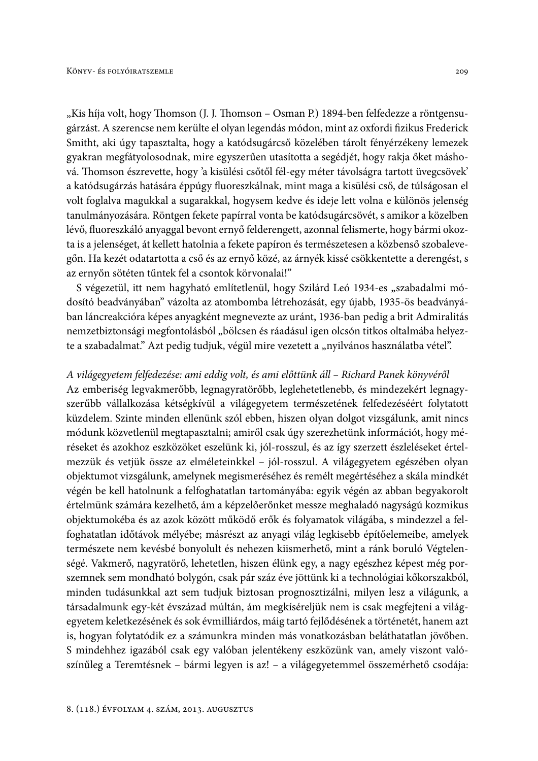"Kis híja volt, hogy Thomson (J. J. Thomson – Osman P.) 1894-ben felfedezze a röntgensugárzást. A szerencse nem kerülte el olyan legendás módon, mint az oxfordi fizikus Frederick Smitht, aki úgy tapasztalta, hogy a katódsugárcső közelében tárolt fényérzékeny lemezek gyakran megfátyolosodnak, mire egyszerűen utasította a segédjét, hogy rakja őket máshová. Thomson észrevette, hogy 'a kisülési csőtől fél-egy méter távolságra tartott üvegcsövek' a katódsugárzás hatására éppúgy fluoreszkálnak, mint maga a kisülési cső, de túlságosan el volt foglalva magukkal a sugarakkal, hogysem kedve és ideje lett volna e különös jelenség tanulmányozására. Röntgen fekete papírral vonta be katódsugárcsövét, s amikor a közelben lévő, fluoreszkáló anyaggal bevont ernyő felderengett, azonnal felismerte, hogy bármi okozta is a jelenséget, át kellett hatolnia a fekete papíron és természetesen a közbenső szobalevegőn. Ha kezét odatartotta a cső és az ernyő közé, az árnyék kissé csökkentette a derengést, s az ernyőn sötéten tűntek fel a csontok körvonalai!"

S végezetül, itt nem hagyható említetlenül, hogy Szilárd Leó 1934-es "szabadalmi módosító beadványában" vázolta az atombomba létrehozását, egy újabb, 1935-ös beadványában láncreakcióra képes anyagként megnevezte az uránt, 1936-ban pedig a brit Admiralitás nemzetbiztonsági megfontolásból "bölcsen és ráadásul igen olcsón titkos oltalmába helyezte a szabadalmat." Azt pedig tudjuk, végül mire vezetett a "nyilvános használatba vétel".

#### A világegyetem felfedezése: ami eddig volt, és ami előttünk áll – Richard Panek könyvéről

Az emberiség legvakmerőbb, legnagyratörőbb, leglehetetlenebb, és mindezekért legnagyszerűbb vállalkozása kétségkívül a világegyetem természetének felfedezéséért folytatott küzdelem. Szinte minden ellenünk szól ebben, hiszen olyan dolgot vizsgálunk, amit nincs módunk közvetlenül megtapasztalni; amiről csak úgy szerezhetünk információt, hogy méréseket és azokhoz eszközöket eszelünk ki, jól-rosszul, és az így szerzett észleléseket értelmezzük és vetjük össze az elméleteinkkel - jól-rosszul. A világegyetem egészében olyan objektumot vizsgálunk, amelynek megismeréséhez és remélt megértéséhez a skála mindkét végén be kell hatolnunk a felfoghatatlan tartományába: egyik végén az abban begyakorolt értelmünk számára kezelhető, ám a képzelőerőnket messze meghaladó nagyságú kozmikus objektumokéba és az azok között működő erők és folyamatok világába, s mindezzel a felfoghatatlan időtávok mélyébe; másrészt az anyagi világ legkisebb építőelemeibe, amelyek természete nem kevésbé bonyolult és nehezen kiismerhető, mint a ránk boruló Végtelenségé. Vakmerő, nagyratörő, lehetetlen, hiszen élünk egy, a nagy egészhez képest még porszemnek sem mondható bolygón, csak pár száz éve jöttünk ki a technológiai kőkorszakból, minden tudásunkkal azt sem tudjuk biztosan prognosztizálni, milyen lesz a világunk, a társadalmunk egy-két évszázad múltán, ám megkíséreljük nem is csak megfejteni a világegyetem keletkezésének és sok évmilliárdos, máig tartó fejlődésének a történetét, hanem azt is, hogyan folytatódik ez a számunkra minden más vonatkozásban beláthatatlan jövőben. S mindehhez igazából csak egy valóban jelentékeny eszközünk van, amely viszont valószínűleg a Teremtésnek – bármi legyen is az! – a világegyetemmel összemérhető csodája: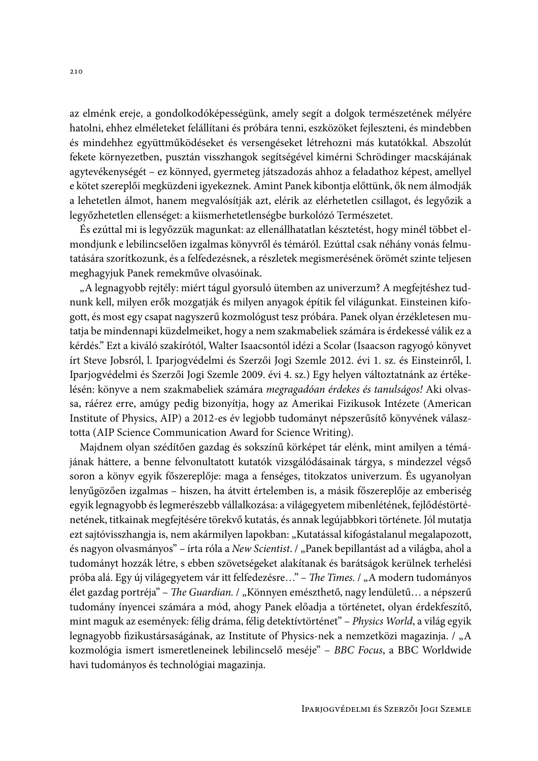az elménk ereje, a gondolkodóképességünk, amely segít a dolgok természetének mélyére hatolni, ehhez elméleteket felállítani és próbára tenni, eszközöket fejleszteni, és mindebben és mindehhez együttműködéseket és versengéseket létrehozni más kutatókkal. Abszolút fekete környezetben, pusztán visszhangok segítségével kimérni Schrödinger macskájának agytevékenységét – ez könnyed, gyermeteg játszadozás ahhoz a feladathoz képest, amellyel e kötet szereplői megküzdeni igyekeznek. Amint Panek kibontja előttünk, ők nem álmodják a lehetetlen álmot, hanem megvalósítják azt, elérik az elérhetetlen csillagot, és legyőzik a legyőzhetetlen ellenséget: a kiismerhetetlenségbe burkolózó Természetet.

És ezúttal mi is legyőzzük magunkat: az ellenállhatatlan késztetést, hogy minél többet elmondjunk e lebilincselően izgalmas könyvről és témáról. Ezúttal csak néhány vonás felmutatására szorítkozunk, és a felfedezésnek, a részletek megismerésének örömét szinte teljesen meghagyjuk Panek remekműve olvasóinak.

"A legnagyobb rejtély: miért tágul gyorsuló ütemben az univerzum? A megfejtéshez tudnunk kell, milyen erők mozgatják és milyen anyagok építik fel világunkat. Einsteinen kifogott, és most egy csapat nagyszerű kozmológust tesz próbára. Panek olyan érzékletesen mutatja be mindennapi küzdelmeiket, hogy a nem szakmabeliek számára is érdekessé válik ez a kérdés." Ezt a kiváló szakírótól, Walter Isaacsontól idézi a Scolar (Isaacson ragyogó könyvet írt Steve Jobsról, l. Iparjogvédelmi és Szerzői Jogi Szemle 2012. évi 1. sz. és Einsteinről, l. Iparjogvédelmi és Szerzői Jogi Szemle 2009. évi 4. sz.) Egy helyen változtatnánk az értékelésén: könyve a nem szakmabeliek számára megragadóan érdekes és tanulságos! Aki olvassa, ráérez erre, amúgy pedig bizonyítja, hogy az Amerikai Fizikusok Intézete (American Institute of Physics, AIP) a 2012-es év legjobb tudományt népszerűsítő könyvének választotta (AIP Science Communication Award for Science Writing).

Majdnem olyan szédítően gazdag és sokszínű körképet tár elénk, mint amilyen a témájának háttere, a benne felvonultatott kutatók vizsgálódásainak tárgya, s mindezzel végső soron a könyv egyik főszereplője: maga a fenséges, titokzatos univerzum. És ugyanolyan lenyűgözően izgalmas – hiszen, ha átvitt értelemben is, a másik főszereplője az emberiség egyik legnagyobb és legmerészebb vállalkozása: a világegyetem mibenlétének, fejlődéstörténetének, titkainak megfejtésére törekvő kutatás, és annak legújabbkori története. Jól mutatja ezt sajtóvisszhangja is, nem akármilyen lapokban: "Kutatással kifogástalanul megalapozott, és nagyon olvasmányos" – írta róla a New Scientist. / "Panek bepillantást ad a világba, ahol a tudományt hozzák létre, s ebben szövetségeket alakítanak és barátságok kerülnek terhelési próba alá. Egy új világegyetem vár itt felfedezésre..." - The Times. / "A modern tudományos élet gazdag portréja" - The Guardian. / "Könnyen emészthető, nagy lendületű... a népszerű tudomány ínyencei számára a mód, ahogy Panek előadja a történetet, olyan érdekfeszítő, mint maguk az események: félig dráma, félig detektívtörténet" - Physics World, a világ egyik legnagyobb fizikustársaságának, az Institute of Physics-nek a nemzetközi magazinja. / "A kozmológia ismert ismeretleneinek lebilincselő meséje" – BBC Focus, a BBC Worldwide havi tudományos és technológiai magazinja.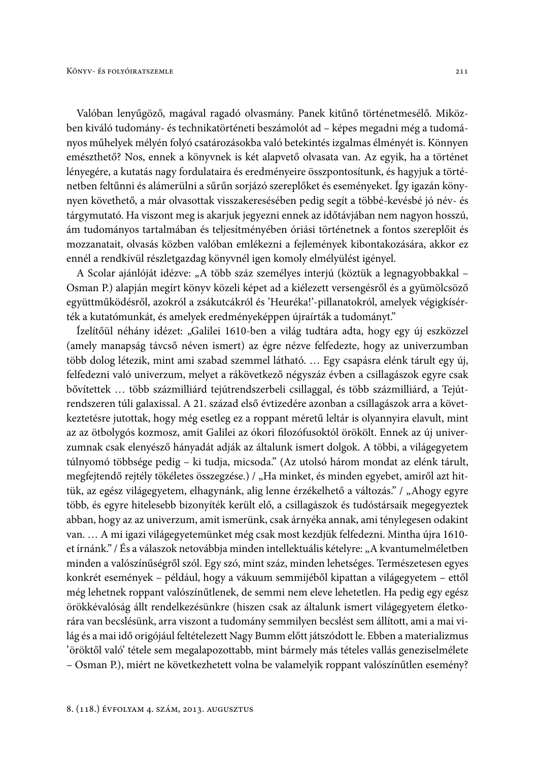Valóban lenyűgöző, magával ragadó olvasmány. Panek kitűnő történetmesélő. Miközben kiváló tudomány- és technikatörténeti beszámolót ad - képes megadni még a tudományos műhelyek mélyén folyó csatározásokba való betekintés izgalmas élményét is. Könnyen emészthető? Nos, ennek a könyvnek is két alapvető olvasata van. Az egyik, ha a történet lényegére, a kutatás nagy fordulataira és eredményeire összpontosítunk, és hagyjuk a történetben feltűnni és alámerülni a sűrűn sorjázó szereplőket és eseményeket. Így igazán könynyen követhető, a már olvasottak visszakeresésében pedig segít a többé-kevésbé jó név- és tárgymutató. Ha viszont meg is akarjuk jegyezni ennek az időtávjában nem nagyon hosszú, ám tudományos tartalmában és teljesítményében óriási történetnek a fontos szereplőit és mozzanatait, olvasás közben valóban emlékezni a fejlemények kibontakozására, akkor ez ennél a rendkívül részletgazdag könyvnél igen komoly elmélyülést igényel.

A Scolar ajánlóját idézve: "A több száz személyes interjú (köztük a legnagyobbakkal -Osman P.) alapján megírt könyv közeli képet ad a kiélezett versengésről és a gyümölcsöző együttműködésről, azokról a zsákutcákról és 'Heuréka!'-pillanatokról, amelyek végigkísérték a kutatómunkát, és amelyek eredményeképpen újraírták a tudományt."

Ízelítőül néhány idézet: "Galilei 1610-ben a világ tudtára adta, hogy egy új eszközzel (amely manapság távcső néven ismert) az égre nézve felfedezte, hogy az univerzumban több dolog létezik, mint ami szabad szemmel látható.... Egy csapásra elénk tárult egy új, felfedezni való univerzum, melyet a rákövetkező négyszáz évben a csillagászok egyre csak bővítettek ... több százmilliárd tejútrendszerbeli csillaggal, és több százmilliárd, a Tejútrendszeren túli galaxissal. A 21. század első évtizedére azonban a csillagászok arra a következtetésre jutottak, hogy még esetleg ez a roppant méretű leltár is olyannyira elavult, mint az az ötbolygós kozmosz, amit Galilei az ókori filozófusoktól örökölt. Ennek az új univerzumnak csak elenyésző hányadát adják az általunk ismert dolgok. A többi, a világegyetem túlnyomó többsége pedig - ki tudja, micsoda." (Az utolsó három mondat az elénk tárult, megfejtendő rejtély tökéletes összegzése.) / "Ha minket, és minden egyebet, amiről azt hittük, az egész világegyetem, elhagynánk, alig lenne érzékelhető a változás." / "Ahogy egyre több, és egyre hitelesebb bizonyíték került elő, a csillagászok és tudóstársaik megegyeztek abban, hogy az az univerzum, amit ismerünk, csak árnyéka annak, ami ténylegesen odakint van. ... A mi igazi világegyetemünket még csak most kezdjük felfedezni. Mintha újra 1610et írnánk." / És a válaszok netovábbja minden intellektuális kételyre: "A kvantumelméletben minden a valószínűségről szól. Egy szó, mint száz, minden lehetséges. Természetesen egyes konkrét események – például, hogy a vákuum semmijéből kipattan a világegyetem – ettől még lehetnek roppant valószínűtlenek, de semmi nem eleve lehetetlen. Ha pedig egy egész örökkévalóság állt rendelkezésünkre (hiszen csak az általunk ismert világegyetem életkorára van becslésünk, arra viszont a tudomány semmilyen becslést sem állított, ami a mai világ és a mai idő origójául feltételezett Nagy Bumm előtt játszódott le. Ebben a materializmus 'öröktől való' tétele sem megalapozottabb, mint bármely más tételes vallás geneziselmélete - Osman P.), miért ne következhetett volna be valamelyik roppant valószínűtlen esemény?